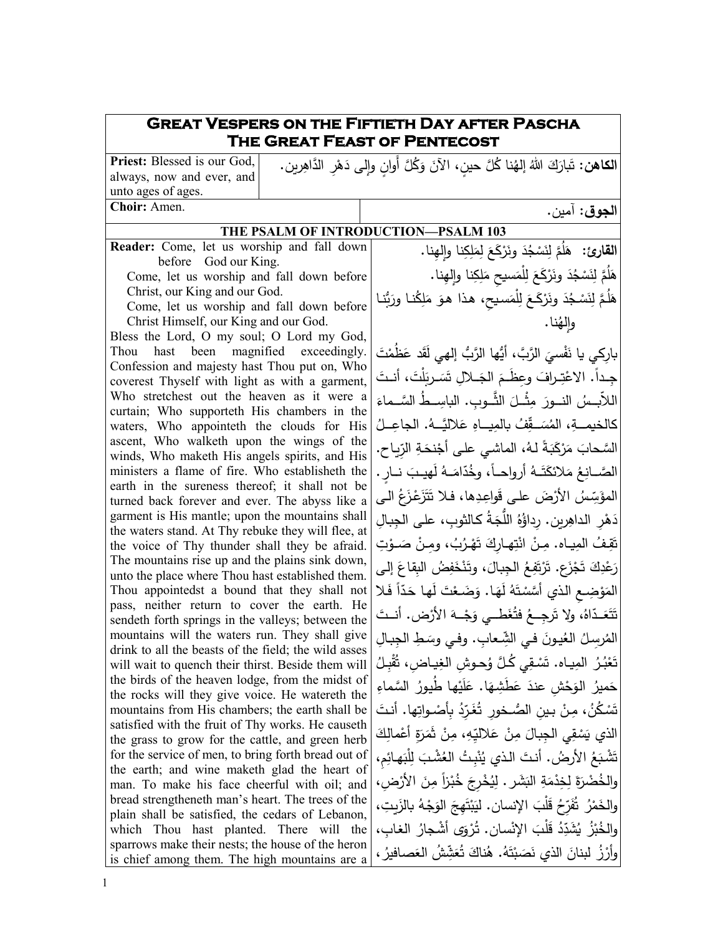## **Great Vespers on the Fiftieth Day after Pascha The Great Feast of Pentecost** ِ <sup>ت</sup> ر�ن. َ **الكاهن:**  ِر َّ الداه َه ُ َّل أَ ٍوان و�لى د �َ َ و ُ َّل ٍ حین، الآن ُنا � ُ إله َ الله َك ار �**Priest:** Blessed is our God, <u>ٔ</u> always, now and ever, and unto ages of ages. **Choir:** Amen. **الجوق**: آمین. **THE PSALM OF INTRODUCTION—PSALM 103** ا**لقارئ:** هَلُمَّ لِنَسْجُدَ ونَرْكَعَ لِمَلِكِنا وإِلمِنا.<br>' هَلُمَّ لِنَسْجُدَ ونَرْكَعَ لِلْمَسيحِ مَلِكِنا وإِلمِنا. </sub> هَلُمَّ لِنَسْجُدَ ونَرْكَـعَ لِلْمَسيحِ، هذا هوَ مَلِكُنـا ورَبُّنـا | والِهُنا. بارِكي يا نَفْسيَ الرَّبَّ، أَيُّها الرَّبُّ إلهي لَقَد عَظَمْتَ<br>گَيسنده ــــراف َ ِ ْت .ً الاع َ ــــ ِجــــدا َس َ ِ ــــلال ت َ الج ، أنــــت ِوع َظــــم ْل َت َ َ ر� اللآبسُ النــورَ مِثْــلَ الثَّــوبِ. الباسِــطُ السَّــماءَ<br>اللآبــسُ النـــورَ كالخيمـــةِ، المُسَــقِّفُ بالمِيـــاهِ عَلاليَّـــهُ. الجاعِــلُ السَّحابَ مَرْكَبَةً لـهُ، الماشي على أجْنحَةِ الرِّياحِ. | الصَّــانِعُ مَلائكَتَــهُ أرواحــاً، وخُدّامَــهُ لَهيـبَ نــارٍ . |<br>الصَّــانِـعُ مَلائكَتَــهُ أرواحــاً، وخُدّامَــهُ لَهيـبَ نــارٍ . | المؤَسِّسُ الأرْضَ على قَواعِدِها، فـلا تَتَزَعْزَعُ الـى | دَهْرِ الداهِرين. رِداؤُهُ اللُّجَةُ كالثوبِ، على الجِبالِ تَقِفُ المِيـاه. مِنْ انْتِهـارِكَ تَهْرُبُ، ومِنْ صَـوْتِ ْ رَعْدِكَ تَجْزَعِ. تَرْتَفِعُ الْجِبالَ، وتَنْخَفِضُ الْبِقَاعَ إِلَى | .<br>ا المَوْضِعِ الذي أَسَّسْتَهُ لَهَا. وَضَعْتَ لَها حَدّاً فَلا تَتَعَـدّاهُ، ولا تَرجِــعُ فتُغَطــي وَجْــهَ الأَرْض. أنــتَ المُرسِلُ العُيونَ في الشِّعابِ. وفي وسَطِ الجِبالِ<br>-تَعْبُرُ المِيـاه. تَسْقِي كُـلَّ وُحـوشِ الغِيـاضِ، تُقْبِـلُ .<br>ا ْ حَميرُ الوَحْشِ عندَ عَطَشِهَا. عَلَيْها طُيورُ السَّماءِ<br>. تَسْكُنُ، مِنْ بينِ الصُـخورِ تُغَرِّدُ بِأَصْـواتِها. أنتَ الذي يَسْقِي الجِبالَ مِنْ عَلاليِّهِ، مِنْ ثَمَرَةٍ أَعْمالِكَ<br>. تَشْبَعُ الأرضُ. أنتَ الذي يُنْبِتُ العُشْبَ الِلْبَهائِمِ، | <u>ا</u> والخُضْرَةَ لِخِدْمَةِ البَشَرِ . لِيُخْرِجَ خُبْزاً مِنَ الأَرْضِ، | والخَمْرُ ۚ ثَفَرِّحُ قَلْبَ الإِنسانِ. ليَبْتَهِجَ الوَجْهُ بِالزَيِتِ، إِ ْ والخُبْزُ يُشَدِّدُ قَلْبَ الإِنْسان. تُرْوَى أشْجارُ الغابِ، |<br>مَسْنَدْتُ وأَرْزُ لبنانَ الذي نَصَبْتَهُ. هُناكَ تُعَشِّشُ العَصافيرُ ، <mark>﴿</mark> .<br>-**Reader:** Come, let us worship and fall down before God our King. Come, let us worship and fall down before Christ, our King and our God. Come, let us worship and fall down before Christ Himself, our King and our God. Bless the Lord, O my soul; O Lord my God, Thou hast been magnified exceedingly. Confession and majesty hast Thou put on, Who coverest Thyself with light as with a garment, Who stretchest out the heaven as it were a curtain; Who supporteth His chambers in the waters, Who appointeth the clouds for His ascent, Who walketh upon the wings of the winds, Who maketh His angels spirits, and His ministers a flame of fire. Who establisheth the earth in the sureness thereof; it shall not be turned back forever and ever. The abyss like a garment is His mantle; upon the mountains shall the waters stand. At Thy rebuke they will flee, at the voice of Thy thunder shall they be afraid. The mountains rise up and the plains sink down, unto the place where Thou hast established them. Thou appointedst a bound that they shall not pass, neither return to cover the earth. He sendeth forth springs in the valleys; between the mountains will the waters run. They shall give drink to all the beasts of the field; the wild asses will wait to quench their thirst. Beside them will the birds of the heaven lodge, from the midst of the rocks will they give voice. He watereth the mountains from His chambers; the earth shall be satisfied with the fruit of Thy works. He causeth the grass to grow for the cattle, and green herb for the service of men, to bring forth bread out of the earth; and wine maketh glad the heart of man. To make his face cheerful with oil; and bread strengtheneth man's heart. The trees of the plain shall be satisfied, the cedars of Lebanon, which Thou hast planted. There will the sparrows make their nests; the house of the heron is chief among them. The high mountains are a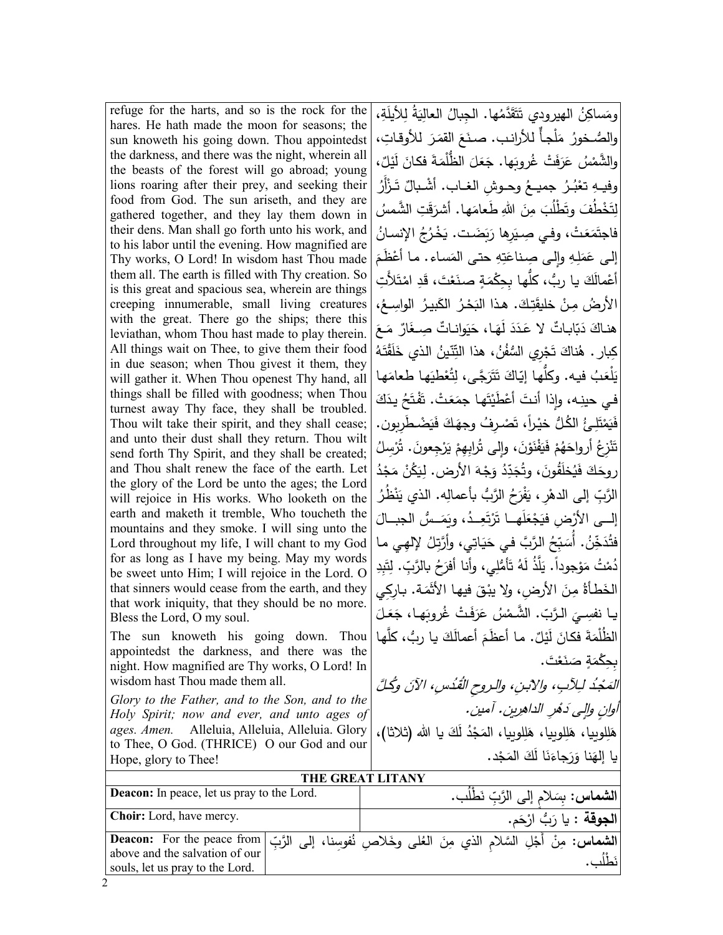refuge for the harts, and so is the rock for the hares. He hath made the moon for seasons; the sun knoweth his going down. Thou appointedst the darkness, and there was the night, wherein all the beasts of the forest will go abroad; young lions roaring after their prey, and seeking their food from God. The sun ariseth, and they are gathered together, and they lay them down in their dens. Man shall go forth unto his work, and to his labor until the evening. How magnified are Thy works, O Lord! In wisdom hast Thou made them all. The earth is filled with Thy creation. So is this great and spacious sea, wherein are things creeping innumerable, small living creatures with the great. There go the ships; there this leviathan, whom Thou hast made to play therein. All things wait on Thee, to give them their food in due season; when Thou givest it them, they will gather it. When Thou openest Thy hand, all things shall be filled with goodness; when Thou turnest away Thy face, they shall be troubled. Thou wilt take their spirit, and they shall cease; and unto their dust shall they return. Thou wilt send forth Thy Spirit, and they shall be created; and Thou shalt renew the face of the earth. Let the glory of the Lord be unto the ages; the Lord will rejoice in His works. Who looketh on the earth and maketh it tremble, Who toucheth the mountains and they smoke. I will sing unto the Lord throughout my life, I will chant to my God for as long as I have my being. May my words be sweet unto Him; I will rejoice in the Lord. O that sinners would cease from the earth, and they that work iniquity, that they should be no more. Bless the Lord, O my soul. The sun knoweth his going down. Thou appointedst the darkness, and there was the night. How magnified are Thy works, O Lord! In

wisdom hast Thou made them all. *Glory to the Father, and to the Son, and to the Holy Spirit; now and ever, and unto ages of ages. Amen.* Alleluia, Alleluia, Alleluia. Glory to Thee, O God. (THRICE) O our God and our Hope, glory to Thee!

ومَساكِنُ الـهيرودي تَتَقَدَّمُها. الـجِبالُ الـعالِيَةُ لِلأَيلَةِ، |<br>-والصُّـخورُ ۖ مَلْجأٌ للأرانب. صنَعَ القمَرَ للأوقاتِ، | ،ٌ ْـل َی َ ل ـة فكـان َ َ َ ُّ الظْلم َ ـل َع َها. ج غرو� َ ْت ُ ف َ َر ْ ُس ع َّ والشم ِّ تَعْبُـرُ جميــعُ وحــوشِ الغــاب. أشْـبالٌ تَـزْأَرُ<br>وَ ْ وفيهِ َّخْطُفَ وتَطْلُبَ مِنَ اللهِ طَعامَها. أشرَقَتِ الشَّمسُ ِت ل بَضَت. يَخْرُجُ الإنسانُ مَتْ، وفي صِـيَرِها رَبَ َع ـ<br>آم فاجت إلى عَمَلِهِ وإِلى صِناعَتِهِ حتى المَساء. ما أَعْظَمَ<br>. أَعْمالَكَ يا ربُّ، كلُّها بِحِكْمَةٍ صنَعْتَ، قَدِ امْتَلأَتِ<br>. ْ الأرضُ مِنْ خليقَتِكَ. هذا البَحْرُ الكَبيرُ الواسِعُ، <mark>|</mark> َ َــع ٌ م َار َ ٌ وانــات ِ صــغ ی َ َــا، ح َه َ ل َد َــد ا�ــات لا ع ٌ ّ �َ َ د هنــاك كِبار . هُناكَ تَجْرِي السُّفُنُ، هذا التِّتّينُ الذي خَلَقْتَهُ ْ َهـا َهـا طعام ْطی ُع ِت َ َّجـى، ل َر َت َ ت ّـاك ُّهـا إ� ُ ف�ـه. و�ل َـب ْلع ی ا<br>ا في حينِه، وإِذا أنتَ أعْطَيْتَها جمَعَتْ. تَقْتَحُ يدَكَ ْ فَيَمْتَلِئُ الكُلُّ خيْراً، تَصْرِفُ وجهَكَ فَيَضْطَرِبون. |<br>\* ْ تَنْزِعُ أرواحَهُمْ فَيَفْنَوْنَ، وإِلى تُرابِهِمْ يَرْجِعونَ. تُرْسِلُ .<br>ا .<br>⊣ .<br>ا روحَكَ فَيُخلَقُونَ، وتُجَدِّدُ وَجْهَ الأَرض. لِيَكُنْ مَجْدُ الرَّبِّ إلى الدهْرِ، يَفْرَحُ الرَّبُّ بأعمالِه. الذي يَنْظُرُ <u>ٰ</u> إلـــى الأرْضِ فيَجْعَلَهـــا تَرْتَعِــدُ، ويَمَــسُّ الجبـــالَ<br>. .<br>ا فتُذَخِّنُ. أُسَبِّحُ الرَّبَّ في حَيَاتِي، وأَرَّتِلُ لإلهِي ما دُمْتُ مَوْجوداً. يَلَّذُ لَهُ تَأْمُّلِي، وأنا أفرَحُ بالرَّبِّ. لِتَبِدِ الخَطأةُ مِنَ الأرضِ، ولا يبْقَ فيها الأثْمَة. بارِكِي يـا نفسِــيَ الـرَّبّ. الشَّـمْسُ عَرَفَتْ غُروبَهـا، جَعَلَ<br>\* أُنْسَــيَ الـرَّبّ. الشَّـمْسُ عَرَفَتْ غُـــةَ الظُلْمَةَ فكانَ لَيْلٌ. ما أعظَمَ أعمالَكَ يا ربُّ، كلَّها |<br>الظُلْمَةَ فكانَ لَيْلٌ. ما أعظَمَ أعمالَكَ يا ربُّ، كلَّها | بِحِكْمَةٍ صَنَعْتَ. المَحْدُ لِلآبِ، والابنِ، والروحِ القُدُسِ، الآنَ وكُلَّ أُوانٍ وإلى دَمُرِ الداهرِينِ. آمين. هَلِلوبِيا، هَلِلوبِيا، هَلِلوبِيا، المَجْدُ لَكَ يا الله (ثلاثا)، </sub> ْد. َج َ الم َك َا ل ن َ َجاء َر َنا و �ا إله

|                                                                                                                                                                                   | THE GREAT LITANY |                                               |                                   |
|-----------------------------------------------------------------------------------------------------------------------------------------------------------------------------------|------------------|-----------------------------------------------|-----------------------------------|
| <b>Deacon:</b> In peace, let us pray to the Lord.                                                                                                                                 |                  | ا <b>لشماس:</b> بسَلام إلى الرَّبِّ نَطْلُبٍ. |                                   |
| <b>Choir:</b> Lord, have mercy.                                                                                                                                                   |                  |                                               | ا <b>لجوقة</b> : يا رَبُّ ارْحَم. |
| الشماس: مِنْ أَجْلِ السَّلام الذي مِنَ العُلْمِي وخَلاصِ نُفوسِنا، إلى الرَّبِّ Deacon: For the peace from  <br>above and the salvation of our<br>souls, let us pray to the Lord. |                  |                                               |                                   |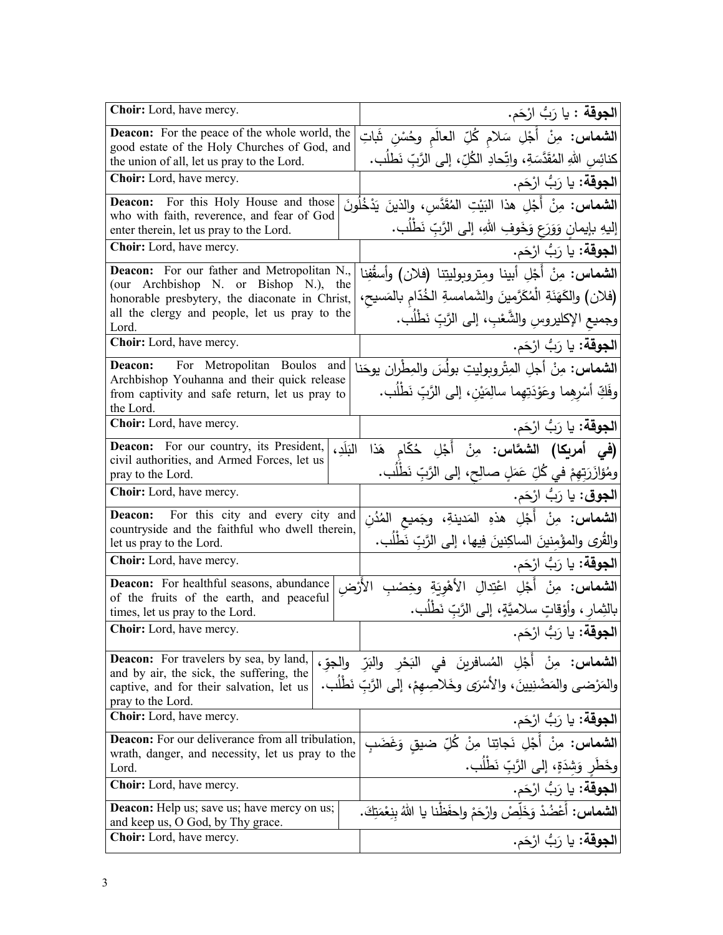| Choir: Lord, have mercy.                                                                             | <b>الجوقة :</b> يا رَبُّ ارْحَم.                                                                                           |
|------------------------------------------------------------------------------------------------------|----------------------------------------------------------------------------------------------------------------------------|
| <b>Deacon:</b> For the peace of the whole world, the<br>good estate of the Holy Churches of God, and | ا <b>لشماس:</b> مِنْ أَجْلِ سَلام كُلِّ العالَم وحُسْنِ شَاتِ                                                              |
| the union of all, let us pray to the Lord.                                                           | كنائِس اللهِ المُقَدَّسَةِ، واتِّحادِ الكُلِّ، إلى الرَّبِّ نَطلُب.                                                        |
| Choir: Lord, have mercy.                                                                             | <b>الجوقة:</b> يا رَبُّ ارْحَم.                                                                                            |
| <b>Deacon:</b> For this Holy House and those                                                         | ا <b>لشماس:</b> مِنْ أَجْلِ هذا البَيْتِ المُقَدَّسِ، والذينَ يَدْخُلُونَ                                                  |
| who with faith, reverence, and fear of God<br>enter therein, let us pray to the Lord.                | إليهِ بإيمانٍ وَوَرَعٍ وَخَوفِ اللهِ، إلى الرَّبِّ نَطْلُبٍ.                                                               |
| Choir: Lord, have mercy.                                                                             | ا <b>لجوقة:</b> يا رَبُّ ارْحَم.                                                                                           |
| <b>Deacon:</b> For our father and Metropolitan N.,                                                   | الشماس: مِنْ أَجْلِ أبينا وَمِتروبوليتِنا (فلان) وأسقُفِنا                                                                 |
| (our Archbishop N. or Bishop N.), the<br>honorable presbytery, the diaconate in Christ,              | (فلان) والكَهَنَةِ الْمُكَرَّمِينَ والشَمامسةِ الخُدَّامِ بالمَسيح،                                                        |
| all the clergy and people, let us pray to the<br>Lord.                                               | وجميع الإكليروسِ والشَّعْبِ، إلى الرَّبِّ نَطْلُب.                                                                         |
| Choir: Lord, have mercy.                                                                             | ا <b>لجوقة:</b> يا رَبُّ ارْحَم.                                                                                           |
| For Metropolitan Boulos and<br>Deacon:                                                               | ا <b>لشماس:</b> مِنْ أجلِ المِثْروبوليتِ بولُسَ والمِطْران يوحَنا                                                          |
| Archbishop Youhanna and their quick release<br>from captivity and safe return, let us pray to        | وفَكِّ أَسْرِهِما وعَوْدَتِهِما سالِمَيْنِ، إلى الرَّبِّ نَطْلُب.                                                          |
| the Lord.<br>Choir: Lord, have mercy.                                                                | ا <b>لجوقة:</b> يا رَبُّ ارْحَم.                                                                                           |
| <b>Deacon:</b> For our country, its President,<br>التلد،                                             |                                                                                                                            |
| civil authorities, and Armed Forces, let us                                                          | <b>(في أمريكا) الشعّاس:</b> مِنْ أَجْلِ حُكّام هَذا                                                                        |
| pray to the Lord.<br>Choir: Lord, have mercy.                                                        | ومُؤازَرَتِهِمْ في كُلِّ عَمَلٍ صالِحٍ، إلى الرَّبِّ نَطْلُب.                                                              |
|                                                                                                      | ا <b>لجوق</b> : يا رَبُّ ارْحَم.                                                                                           |
| <b>Deacon:</b> For this city and every city and<br>countryside and the faithful who dwell therein,   | ا <b>لشماس:</b> مِنْ أَجْلِ هذهِ المَدينةِ، وجَميع المُدُن<br>والقُرى والمؤْمِنينَ الساكِنينَ فِيها، إلى الرَّبِّ نَطْلُب. |
| let us pray to the Lord.<br>Choir: Lord, have mercy.                                                 |                                                                                                                            |
| <b>Deacon:</b> For healthful seasons, abundance                                                      | <b>الجوقة:</b> يا رَبُّ ارْحَم.                                                                                            |
| of the fruits of the earth, and peaceful                                                             | ا <b>لشماس:</b> مِنْ أَجْلِ اعْتِدالِ الأَهْوِيَةِ وخِصْبِ الأَرْض                                                         |
| times, let us pray to the Lord.                                                                      | بالنِّمارِ ، وأَوْقاتٍ سلاميَّةٍ، إلى الرَّبِّ نَطْلُبٍ.                                                                   |
| Choir: Lord, have mercy.                                                                             | ا <b>لجوقة</b> : يا رَبُّ ارْحَم.                                                                                          |
| <b>Deacon:</b> For travelers by sea, by land,                                                        | ا <b>لشماس:</b> مِنْ أَجْلِ المُسافرينَ في البَحْرِ والبَرِّ والجوِّ،                                                      |
| and by air, the sick, the suffering, the<br>captive, and for their salvation, let us                 | والمَرْضى والمَضْنِيينَ، والأَسْرَى وخَلاصِهمْ، إلى الرَّبِّ نَطْلَب.                                                      |
| pray to the Lord.<br>Choir: Lord, have mercy.                                                        |                                                                                                                            |
| <b>Deacon:</b> For our deliverance from all tribulation,                                             | ا <b>لجوقة:</b> يا رَبُّ ارْحَم.                                                                                           |
| wrath, danger, and necessity, let us pray to the                                                     | ا <b>لشماس:</b> مِنْ أَجْلِ نَجاتِنا مِنْ كُلِّ ضيق وَغَضَبِ                                                               |
| Lord.                                                                                                | وخَطَر وَشِدَةٍ، إلى الرَّبِّ نَطْلُب.                                                                                     |
| <b>Choir:</b> Lord, have mercy.                                                                      | ا <b>لجوقة:</b> يا رَبُّ ارْحَم.                                                                                           |
| <b>Deacon:</b> Help us; save us; have mercy on us;<br>and keep us, O God, by Thy grace.              | <b>الشماس:</b> أَعْضُدْ وَخَلِّصْ وارْحَمْ واحفَظْنا يا اللهُ بِنِعْمَتِكَ.                                                |
| Choir: Lord, have mercy.                                                                             | ا <b>لجوقة:</b> يا رَبُّ ارْحَم.                                                                                           |
|                                                                                                      |                                                                                                                            |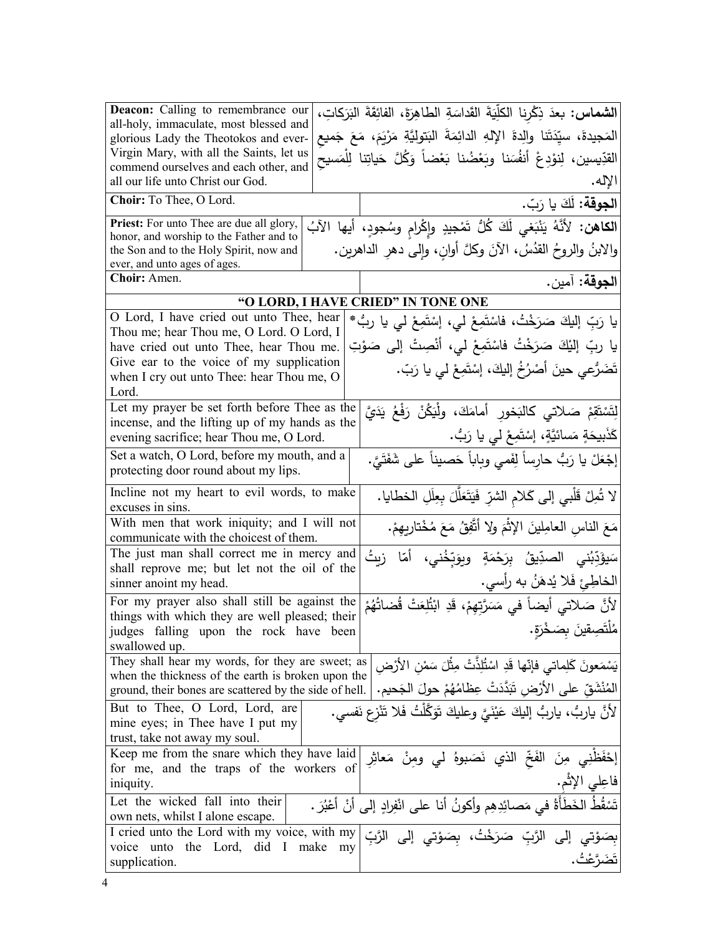| <b>Deacon:</b> Calling to remembrance our<br>all-holy, immaculate, most blessed and<br>glorious Lady the Theotokos and ever-<br>Virgin Mary, with all the Saints, let us<br>commend ourselves and each other, and<br>all our life unto Christ our God.<br>Choir: To Thee, O Lord.                        |            | الشماس: بعدَ ذِكْرِنا الكلِّيَةَ القَداسَةِ الطاهِرَةَ، الفائِقَةَ البَرَكاتِ،<br>المَجيدةَ، سيِّدَتَنا والِدةَ الإِلهِ الدائِمَةَ البَتوليَّةِ مَرْيَمَ، مَعَ جَميع<br>القدِّيسين، لِنوْدِعْ أَنفُسَنا وبَعْضُنا بَعْضاً وَكُلَّ حَياتِنا لِلْمَسيحُ<br>الإله. |
|----------------------------------------------------------------------------------------------------------------------------------------------------------------------------------------------------------------------------------------------------------------------------------------------------------|------------|-----------------------------------------------------------------------------------------------------------------------------------------------------------------------------------------------------------------------------------------------------------------|
|                                                                                                                                                                                                                                                                                                          |            | ا <b>لجوقة:</b> لَكَ يا رَبّ.                                                                                                                                                                                                                                   |
| <b>Priest:</b> For unto Thee are due all glory,<br>honor, and worship to the Father and to<br>the Son and to the Holy Spirit, now and<br>ever, and unto ages of ages.                                                                                                                                    |            | الكاهن: لأنَّهُ يَنْبَغي لَكَ كُلُّ تَمْجِيدٍ وإِكْرامٍ وسُجودٍ، أيها الآبُ<br>والابنُ والروحُ القدُسُ، الآنَ وكلَّ أوانٍ، وَإِلـىَّ دهرِ الدَّاهرين.                                                                                                           |
| Choir: Amen.                                                                                                                                                                                                                                                                                             |            | ا <b>لجوقة:</b> آمين.                                                                                                                                                                                                                                           |
|                                                                                                                                                                                                                                                                                                          |            | "O LORD, I HAVE CRIED" IN TONE ONE                                                                                                                                                                                                                              |
| O Lord, I have cried out unto Thee, hear<br>Thou me; hear Thou me, O Lord. O Lord, I<br>have cried out unto Thee, hear Thou me.<br>Give ear to the voice of my supplication<br>when I cry out unto Thee: hear Thou me, O<br>Lord.                                                                        |            | يا رَبِّ إليكَ صَرَخْتُ، فاسْتَمِعْ لي، إسْتَمِعْ لي يا ربُّ*<br>يا ربِّ إليْكَ صَرَخْتُ فاسْتَمِعْ لي، أنْصِتْ إلى صَوْتِ<br>تَضَرُّعي حينَ أَصْرُخُ إليكَ، إسْتَمِعْ لي يا رَبّ.                                                                              |
| Let my prayer be set forth before Thee as the<br>incense, and the lifting up of my hands as the<br>evening sacrifice; hear Thou me, O Lord.                                                                                                                                                              |            | لِتَسْتَقِمْ صَلاتي كالبَخورِ أمامَكَ، ولْيَكُنْ رَفْعُ يَدَيَّ<br>كَذَبِيحَةٍ مَسائيَّةٍ، إِسْتَمِعْ لي يا رَبُّ.                                                                                                                                              |
| Set a watch, O Lord, before my mouth, and a<br>protecting door round about my lips.                                                                                                                                                                                                                      |            | إجْعَلْ يا رَبُّ حارِساً لِفَمي وباباً حَصيناً على شَفَتَيَّ.                                                                                                                                                                                                   |
| Incline not my heart to evil words, to make<br>excuses in sins.                                                                                                                                                                                                                                          |            | لا شُرِلْ قَلْبِي إِلَى كَلامِ الشَّرِّ فَيَتَعَلَّلَ بِعِلَلِ الخطايا.                                                                                                                                                                                         |
| With men that work iniquity; and I will not<br>communicate with the choicest of them.                                                                                                                                                                                                                    |            | مَعَ الناسِ العامِلينَ الإِثْمَ ولا أتَّفِقُ مَعَ مُخْتارِيهِمْ.                                                                                                                                                                                                |
| The just man shall correct me in mercy and<br>shall reprove me; but let not the oil of the<br>sinner anoint my head.                                                                                                                                                                                     |            | سَيؤَدِّبُني الصدِّيقُ بِرَحْمَةٍ ويوَبِّخُني، أمّا زيتُ<br>الخاطِئِ فَلا يُدهَنُ به رأسي.                                                                                                                                                                      |
| For my prayer also shall still be against the<br>things with which they are well pleased; their                                                                                                                                                                                                          |            | لأَنَّ صَلاتي أيضاً في مَسَرَّتِهِمْ، قَدِ ابْتُٰلِعَتْ قُضاتُهُمْ                                                                                                                                                                                              |
| judges falling upon the rock have been<br>swallowed up.                                                                                                                                                                                                                                                  |            | مُلْتَصِقِينَ بِصَخْرَةٍ.                                                                                                                                                                                                                                       |
| They shall hear my words, for they are sweet; as<br> يَسْمَعونَ كَلِماتي فإنّها قَدِ اسْتُلِذّتْ مِثْلَ سَمْنِ الأَرْضِ<br>when the thickness of the earth is broken upon the<br>المُنْشَقِّ على الأَرْضِ تَبَدَّدَتْ عِظامُهُمْ حولَ الجَحيم.<br>ground, their bones are scattered by the side of hell. |            |                                                                                                                                                                                                                                                                 |
| But to Thee, O Lord, Lord, are<br>mine eyes; in Thee have I put my<br>trust, take not away my soul.                                                                                                                                                                                                      |            | لأَنَّ ياربُّ، ياربُّ إليكَ عَيْنَيَّ وعليكَ تَوَكَّلْتُ فَلا تَنْزع نَفسي.                                                                                                                                                                                     |
| Keep me from the snare which they have laid<br>for me, and the traps of the workers of<br>iniquity.                                                                                                                                                                                                      |            | إِحْفَظنِي مِنَ الفَخّ الذي نَصَبوهُ لي ومِنْ مَعاثِرِ<br>فاعِلي الإثْمِ.                                                                                                                                                                                       |
| Let the wicked fall into their<br>own nets, whilst I alone escape.                                                                                                                                                                                                                                       |            | تَسْقُطُ الخَطَأَةُ في مَصائِدِهِم وأكونُ أنا على انْفِرادِ إلى أنْ أعْبُرَ .                                                                                                                                                                                   |
| I cried unto the Lord with my voice, with my<br>voice unto the Lord, did<br>$\bf{l}$<br>supplication.                                                                                                                                                                                                    | make<br>my | بِصَوْتي إلى الرَّبِّ صَرَخْتُ، بِصَوْتي إلى الرَّبِّ                                                                                                                                                                                                           |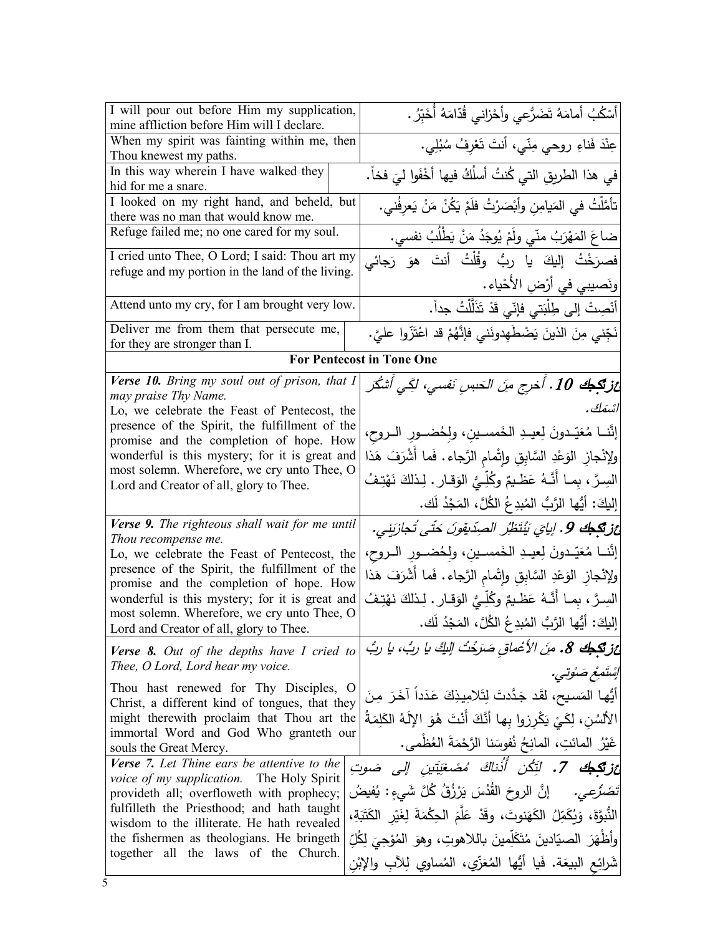| I will pour out before Him my supplication,<br>mine affliction before Him will I declare.          | أَسْكُبُ أَمامَهُ تَضَرُّعي وأَحْزاني قُدّامَهُ أُخَبِّرُ .                         |
|----------------------------------------------------------------------------------------------------|-------------------------------------------------------------------------------------|
| When my spirit was fainting within me, then<br>Thou knewest my paths.                              | عِنْدَ فَناءِ روحي مِنّي، أنتَ تَعْرِفُ سُبُلِي.                                    |
| In this way wherein I have walked they<br>hid for me a snare.                                      | في هذا الطريقِ التي كُنتُ أسلُكُ فيها أخْفَوا ليَ فخاً.                             |
| I looked on my right hand, and beheld, but<br>there was no man that would know me.                 | تأمَّلْتُ في المَيامِنِ وأَبْصَرْتُ فلَمْ يَكُنْ مَنْ يَعرِفُني.                    |
| Refuge failed me; no one cared for my soul.                                                        | ضاعَ المَهْرَبُ منّي ولَمْ يُوجَدُ مَنْ يَطْلُبُ نفسي.                              |
| I cried unto Thee, O Lord; I said: Thou art my<br>refuge and my portion in the land of the living. | فصرَخْتُ إليكَ يا ربُّ وقُلْتُ أنتَ هوَ رَجائي                                      |
| Attend unto my cry, for I am brought very low.                                                     | ونَصيبي في أرْضِ الأَحْياء.<br>أَنْصِتْ إلى طِلْبَتي فإنّي قَدْ تَذَلَّلْتُ جداً.   |
| Deliver me from them that persecute me,<br>for they are stronger than I.                           | نَجِّني مِنَ الذينَ يَضْطَهِدونَني فإنَّهُمْ قد اعْتَزّوا عليَّ.                    |
|                                                                                                    | <b>For Pentecost in Tone One</b>                                                    |
| Verse 10. Bring my soul out of prison, that I<br>may praise Thy Name.                              | غز <b>تَكِطِكَ 10 . أُخر</b> ج منَ الحَبسِ نَفسي، لكِّي أَشْكُرَ                    |
| Lo, we celebrate the Feast of Pentecost, the                                                       | اشمَكَ .                                                                            |
| presence of the Spirit, the fulfillment of the<br>promise and the completion of hope. How          | إنَّنــا مُعَيّـدونَ لِعيــدِ الخَمسـينِ، ولِحُضــورِ الــروحِ،                     |
| wonderful is this mystery; for it is great and                                                     | ولإنْجازِ الوَعْدِ السَّابِقِ وإِتْمامِ الرَّجاءِ. فَما أَشْرَفَ هَذا               |
| most solemn. Wherefore, we cry unto Thee, O<br>Lord and Creator of all, glory to Thee.             | السِرَّ ، بِمــا أنَّــهُ عَظــيمٌ وكُلِّــيٌّ الوَقــار . لِـذلكَ نَهْتِـفُ        |
|                                                                                                    | إِليكَ: أَيُّها الرَّبُّ المُبدِعُ الكُلَّ، المَجْدُ لَك.                           |
| Verse 9. The righteous shall wait for me until<br>Thou recompense me.                              | غز <b>تَكِطِك 9</b> . إيايَ يُنْتَظِّرُ الصِدِّيقونَ حَتَّى تُجازَبِنِي.            |
| Lo, we celebrate the Feast of Pentecost, the                                                       | إنَّنــا مُعَيّدونَ لِعيــدِ الخَمسـينِ، ولِحُضــورِ الــروحِ،                      |
| presence of the Spirit, the fulfillment of the<br>promise and the completion of hope. How          | ولإنْجاز الوَعْدِ السَّابِقِ وإِتْمامِ الرَّجاءِ. فَما أشْرَفَ هَذا                 |
| wonderful is this mystery; for it is great and<br>most solemn. Wherefore, we cry unto Thee, O      | السِرَّ ، بِمـا أَنَّـهُ عَظـيمٌ وكُلِّـيُّ الوَقـارِ . لِـذلكَ نَهْتِـفُ           |
| Lord and Creator of all, glory to Thee.                                                            | إليكَ: أَيُّها الرَّبُّ المُبدِعُ الكُلَّ، المَجْدُ لَك.                            |
| <b>Verse 8.</b> Out of the depths have I cried to<br>Thee, O Lord, Lord hear my voice.             | غز تكجه 8. مِنَ الأعْماق صَرَخْتُ اللهِّ يا ربُّ، يا ربُّ                           |
| Thou hast renewed for Thy Disciples, O                                                             | إِسْتَمِعْ صَنُوتِي.                                                                |
| Christ, a different kind of tongues, that they                                                     | أَيُّها المَسيح، لقَد جَدَّدتَ لِتَلامِيذِكَ عَدَداً آخَرَ مِنَ                     |
| might therewith proclaim that Thou art the<br>immortal Word and God Who granteth our               | الأَلسُن، لِكَيْ يَكْرِزوا بِها أَنَّكَ أَنْتَ هُوَ الإِلَهُ الكَلِمَةُ             |
| souls the Great Mercy.                                                                             | غَيْرُ المائتِ، المانِحُ نُفوسَنا الرَّحْمَةَ العُظْمى.                             |
| Verse 7. Let Thine ears be attentive to the<br>voice of my supplication. The Holy Spirit           | عز <b>تَكِكَ 7.</b> لَتِّكُن أُذْناكَ مُصْغِيَّتين إلى صَوتِ                        |
| provideth all; overfloweth with prophecy;<br>fulfilleth the Priesthood; and hath taught            | إِنَّ الروحَ القُدُسَ يَرْزُقُ كُلَّ شَيءٍ : يُفيضُ<br>تَضَرُّعِي.                  |
| wisdom to the illiterate. He hath revealed                                                         | النُّبوَّةَ، وَبُكَمِّلُ الكَهَنوتَ، وقَدْ عَلَّمَ الْحِكْمَةَ لِغَيْرِ الكَتَبَةِ، |
| the fishermen as theologians. He bringeth<br>together all the laws of the Church.                  | وأَظْهَرَ الصيّادينَ مُتَكَلِّمينَ باللاهوتِ، وهوَ المُؤْجِيَ لِكُلِّ               |
|                                                                                                    | شَرائِعِ البيعَةِ. فَيا أَيُّها المُعَزِّي، المُساوِي لِلآبِ والإِبْنِ              |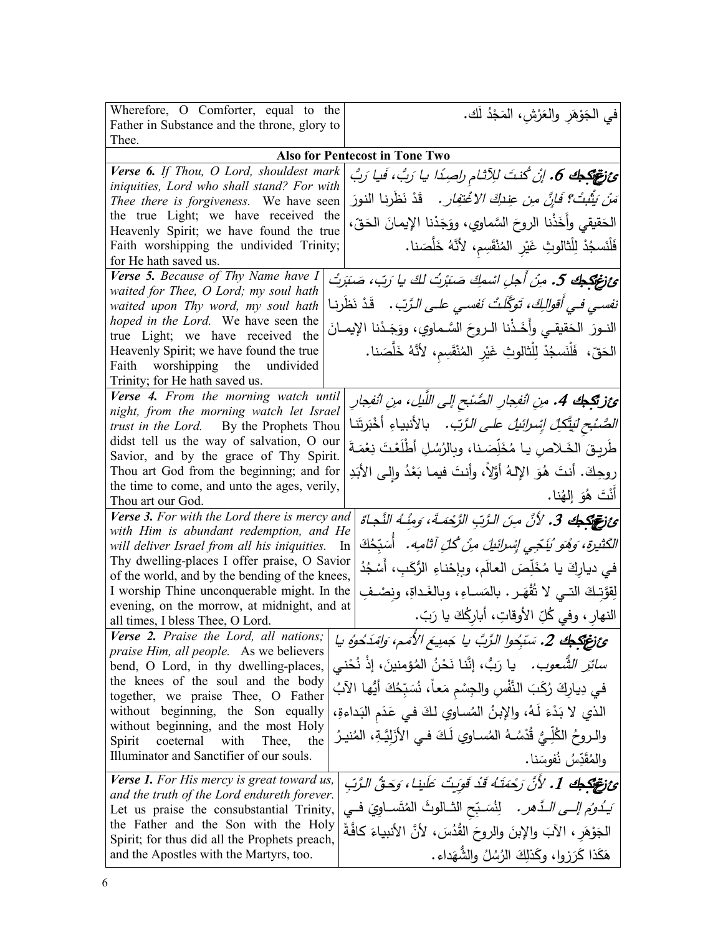| Wherefore, O Comforter, equal to the                                                             |  | في الجَوْهَرِ والعَرْشِ، المَجْدُ لَك.                                                |
|--------------------------------------------------------------------------------------------------|--|---------------------------------------------------------------------------------------|
| Father in Substance and the throne, glory to                                                     |  |                                                                                       |
| Thee.                                                                                            |  |                                                                                       |
|                                                                                                  |  | <b>Also for Pentecost in Tone Two</b>                                                 |
| Verse 6. If Thou, O Lord, shouldest mark<br>iniquities, Lord who shall stand? For with           |  |                                                                                       |
| Thee there is forgiveness. We have seen                                                          |  | َ <i>مَنْ يَثْبُتْ؟ فَإِنَّ مِن عِنْدِكَ الاغْتِفارِ</i> . ۖ قَدْ نَظَرِنا النورَ     |
| the true Light; we have received the                                                             |  | الحَقيقي وأخَذْنا الروحَ السَّماوي، ووَجَدْنا الإيمانَ الحَقِّ،                       |
| Heavenly Spirit; we have found the true                                                          |  |                                                                                       |
| Faith worshipping the undivided Trinity;<br>for He hath saved us.                                |  | فَلْنَسجُدْ لِلْثَالوثِ غَيْرِ المُنْقَسِمِ، لأَنَّهُ خَلَّصَنا.                      |
| Verse 5. Because of Thy Name have I<br>waited for Thee, O Lord; my soul hath                     |  | ئ زغتگجك 5. مِنْ أجلِ اسْمِكَ صَبَرْتُ لكَ يا رَبّ، صَبَرتُ                           |
| waited upon Thy word, my soul hath                                                               |  | نف <i>سي في أقوالِكَ، تَوَكَّلَتْ نَفسي علي الرَّبّ.</i> قَدْ نَظَرنا                 |
| hoped in the Lord. We have seen the<br>true Light; we have received the                          |  | النــورَ الحَقيقـي وأخَـذْنا الــروحَ السَّـماوي، ووَجَـدْنا الإيمــانَ               |
| Heavenly Spirit; we have found the true                                                          |  | الحَقّ، فَلْنَسجُدْ لِلْثَالوثِ غَيْرِ المُنْقَسِم، لأنَّهُ خَلَّصَنا.                |
| Faith worshipping the undivided                                                                  |  |                                                                                       |
| Trinity; for He hath saved us.                                                                   |  |                                                                                       |
| Verse 4. From the morning watch until<br>night, from the morning watch let Israel                |  | ئزتيجك 4. منِ انْفِجارِ الصُّنْبح إلى اللَّيل، منِ انْفِجارِ                          |
| trust in the Lord. By the Prophets Thou                                                          |  | <i>الصُّنْحِ لَيتَّكِلُّ إِسْرائَيلُ</i> ع <i>لى الرَّبِّ.</i> بالأنبياءِ أَخْبَرتَنا |
| didst tell us the way of salvation, O our                                                        |  | طَرِيقَ الخَـلاص يـا مُخَلِّصَـنا، وبِالرُسُلِ أطْلَعْتَ نِعْمَـةَ                    |
| Savior, and by the grace of Thy Spirit.                                                          |  |                                                                                       |
| Thou art God from the beginning; and for                                                         |  | روحِكَ. أنتَ هُوَ الإِلهُ أَوَّلاً، وأنتَ فيما بَعْدُ وإِلى الأَبَدِ                  |
| the time to come, and unto the ages, verily,<br>Thou art our God.                                |  | أَنْتَ هُوَ إِلْهُنا.                                                                 |
| Verse 3. For with the Lord there is mercy and                                                    |  | ئِ تَصَلَّكُهُ 3. لأَنَّ مِنَ الرَّبِّ الزَّحْمَـةَ، وَمِنْـهُ النَّجاةَ              |
| with Him is abundant redemption, and He                                                          |  |                                                                                       |
| will deliver Israel from all his iniquities. In                                                  |  | الكَثيرة، وَهُوَ يُنَجِّي إِسْرائيلَ مِنْ كُلِّ آثامِه. ۚ أَسَبِّحُكَ                 |
| Thy dwelling-places I offer praise, O Savior<br>of the world, and by the bending of the knees,   |  | في دياركَ يا مُخَلِّصَ العالَمِ، وبإِحْناءِ الرُّكَبِ، أَسْجُدُ                       |
| I worship Thine unconquerable might. In the                                                      |  | لِقَوَّتِكَ التــي لا تُقْهَـر . بالمَسـاءِ، وبالغَـداةِ، ونِصْــفِ                   |
| evening, on the morrow, at midnight, and at<br>all times, I bless Thee, O Lord.                  |  | النهارِ ، وفي كُلِّ الأوقاتِ، أبارِكُكَ يا رَبّ.                                      |
| Verse 2. Praise the Lord, all nations;                                                           |  | ئ تَرْجُلُكُمْ 2. سَبْحُوا الرَّبَّ يا جَمِيعَ الأَمَمِ، وَامْذَكُوهُ يا              |
| praise Him, all people. As we believers                                                          |  | <i>سائرَ الشُّعوب.</i> يا رَبُّ، إنَّنا نَحْنُ المُؤمنينَ، إذْ نُحْنى                 |
| bend, O Lord, in thy dwelling-places,<br>the knees of the soul and the body                      |  |                                                                                       |
| together, we praise Thee, O Father                                                               |  | في دِيارِكَ رُكَبَ النَّفْسِ والجِسْمِ مَعاً، نُسَبِّحُكَ أَيُّها الآبُ               |
| without beginning, the Son equally<br>without beginning, and the most Holy                       |  | الذي لا بَدْءَ لَـهُ، والإبنُ المُساوي لكَ فـي عَدَم البَداءةِ،                       |
| Spirit<br>coeternal<br>with<br>Thee,<br>the                                                      |  | والـروحُ الكُلِّـيُّ قُدْسُـهُ المُسـاوي لَـكَ فـي الأَزَلِيَّـةِ، المُنيـرُ          |
| Illuminator and Sanctifier of our souls.                                                         |  | والمُقَدِّسُ نُفوسَنا.                                                                |
| <b>Verse 1.</b> For His mercy is great toward us,<br>and the truth of the Lord endureth forever. |  | ئِ وَتَوَقِّكُهُ 1. لأَنَّ رَحْمَتَهُ قَدْ قَوَيتُ عَلَينا، وَحَقُّ الرَّبِّ          |
| Let us praise the consubstantial Trinity,                                                        |  | َيَـٰدُوُم <i>إلــى الــذَّهر .</i> لِنُسَـبِّح الشـالوثَ المُتَسـاوِيَ فــي          |
| the Father and the Son with the Holy<br>Spirit; for thus did all the Prophets preach,            |  | الْجَوْهَرِ ، الآبَ والإِبنَ والروحَ القُدُسَ، لأنَّ الأنبياءَ كافَّةً                |
| and the Apostles with the Martyrs, too.                                                          |  | هَكَذَا كَرَزِوا، وكَذَلِكَ الرُسُلُ والشَّهَداءِ.                                    |
|                                                                                                  |  |                                                                                       |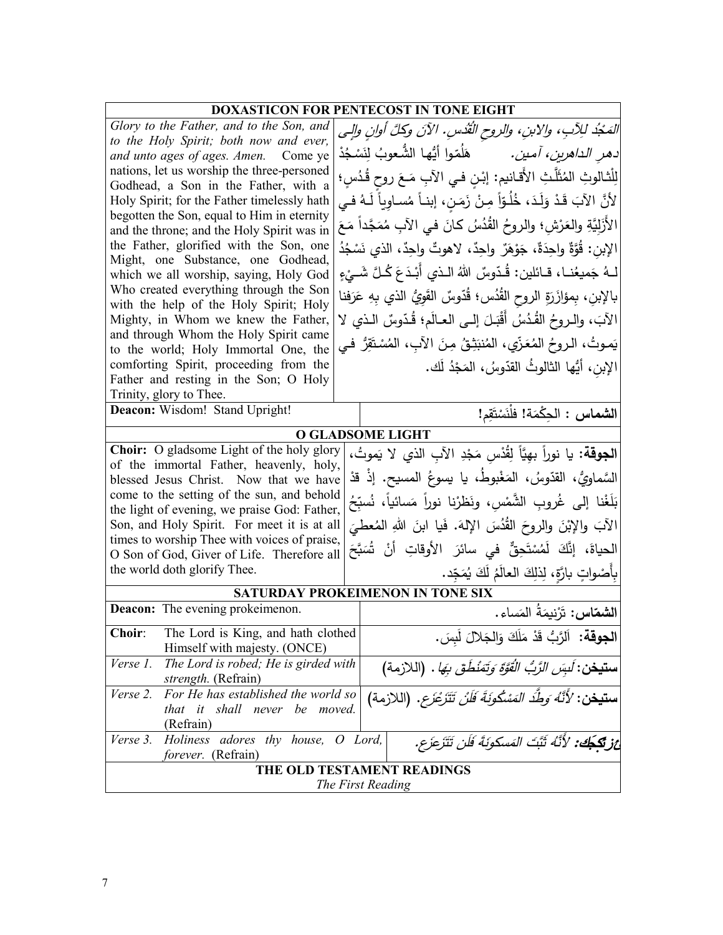| <b>DOXASTICON FOR PENTECOST IN TONE EIGHT</b>                                                                                                                             |                                                                             |  |
|---------------------------------------------------------------------------------------------------------------------------------------------------------------------------|-----------------------------------------------------------------------------|--|
| Glory to the Father, and to the Son, and                                                                                                                                  | المَجْدُ للِآبِ، والابنِ، والروح القُدْسِ. الآنَ وكلَّ أوانِ والِي          |  |
| to the Holy Spirit; both now and ever,                                                                                                                                    | <i>دهر الداهرين، آمين.</i> هَلُمّوا أيُّها الشُّعوبُ لِنَسْجُدْ             |  |
| and unto ages of ages. Amen. Come ye<br>nations, let us worship the three-personed                                                                                        |                                                                             |  |
| Godhead, a Son in the Father, with a                                                                                                                                      | لِلْثالوثِ المُثَلَّثِ الأَقانيم: إبْنِ في الآبِ مَعَ روحٍ قُدُسٍ؛          |  |
| Holy Spirit; for the Father timelessly hath                                                                                                                               | لأَنَّ الآبَ قَدْ وَلَدَ، خُلُوّاً مِنْ زَمَنٍ، إبنـاً مُساوِياً لَـهُ فـي  |  |
| begotten the Son, equal to Him in eternity                                                                                                                                | الأَزَلِيَّةِ والعَرْشِ؛ والروحُ القُدُسُ كانَ في الآبِ مُمَجَّداً مَعَ     |  |
| and the throne; and the Holy Spirit was in<br>the Father, glorified with the Son, one                                                                                     |                                                                             |  |
| Might, one Substance, one Godhead,                                                                                                                                        | الإِبن: قُوَّةٌ واحِدَةٌ، جَوْهَرٌ ۖ واحِدٌ، لاهوتٌ واحِدٌ، الذي نَسْجُدُ   |  |
| which we all worship, saying, Holy God                                                                                                                                    | لــهُ جَميعُنــا، قــائلين: قُـدّوسٌ اللهُ الــذي أَبْـدَعَ كُـلَّ شَــيْءٍ |  |
| Who created everything through the Son                                                                                                                                    | بالإبنِ، بِمؤازَرَةِ الروحِ القُدُسِ؛ قُدّوسٌ القَوِيُّ الذي بِهِ عَرَفنا   |  |
| with the help of the Holy Spirit; Holy<br>Mighty, in Whom we knew the Father,                                                                                             |                                                                             |  |
| and through Whom the Holy Spirit came                                                                                                                                     | الآبَ، والـروحُ القُدُسُ أَقْبَـلَ إلــى العـالَم؛ قُدّوسٌ الـذي لا         |  |
| to the world; Holy Immortal One, the                                                                                                                                      | يَموتُ، الـروحُ المُعَزِّي، المُنبَثِقُ مِنَ الآبِ، المُسْتَقِرُّ فـي       |  |
| comforting Spirit, proceeding from the                                                                                                                                    | الإبن، أَيُّها الثالوثُ القدّوسُ، المَجْدُ لَك.                             |  |
| Father and resting in the Son; O Holy                                                                                                                                     |                                                                             |  |
| Trinity, glory to Thee.<br>Deacon: Wisdom! Stand Upright!                                                                                                                 |                                                                             |  |
| الشماس : الحِكْمَة! فلْنَسْتَقِم!                                                                                                                                         |                                                                             |  |
| <b>O GLADSOME LIGHT</b>                                                                                                                                                   |                                                                             |  |
| Choir: O gladsome Light of the holy glory                                                                                                                                 | ا <b>لجوقة:</b> يا نوراً بهِيَّاً لِقُدْس مَجْدِ الآبِ الذي لا يَموتُ،      |  |
| of the immortal Father, heavenly, holy,<br>السَّماويُّ، القدّوسُ، المَغْبوطُ، يا يسوعُ المسيح. إذْ قدْ<br>blessed Jesus Christ. Now that we have                          |                                                                             |  |
| come to the setting of the sun, and behold                                                                                                                                |                                                                             |  |
| the light of evening, we praise God: Father,                                                                                                                              | بَلَغْنا إِلى غُروبِ الشَّمْسِ، ونَظرْنا نوراً مَسائياً، نُسبِّحُ           |  |
| Son, and Holy Spirit. For meet it is at all                                                                                                                               | الآبَ والإِبْنَ والروحَ القُدُسَ الإِلهَ. فَيا ابنَ اللهِ المُعطيَ          |  |
| times to worship Thee with voices of praise,<br>O Son of God, Giver of Life. Therefore all                                                                                | الحياةَ، إنَّكَ لَمُسْتَحِقٌّ في سائرَ الأوقاتِ أنْ شُبَحِّ                 |  |
| the world doth glorify Thee.                                                                                                                                              | بِأَصْواتٍ بارَّةٍ، لِذَلِكَ العالَمُ لَكَ يُمَجِّد.                        |  |
|                                                                                                                                                                           |                                                                             |  |
| Deacon: The evening prokeimenon.                                                                                                                                          | SATURDAY PROKEIMENON IN TONE SIX                                            |  |
|                                                                                                                                                                           | ا <b>لشمّاس:</b> تَرْنيمَةُ المَساء.                                        |  |
| Choir:<br>The Lord is King, and hath clothed<br>Himself with majesty. (ONCE)                                                                                              | ا <b>لجوقة:</b> اَلرَّبُّ قَدْ مَلَكَ وَالجَلالَ لَبِسَ.                    |  |
| Verse 1.<br>The Lord is robed; He is girded with<br><b>ستيخن:</b> <i>لَبِسَ الرَّبُّ الْقُوَّةِ وَتَمْنُطُقَ بِهَا</i> .  (اللازمة)                                       |                                                                             |  |
| strength. (Refrain)                                                                                                                                                       |                                                                             |  |
| For He has established the world so<br>Verse 2.<br><b>ستيخن</b> : ' <i>لأَنَّهُ وَطِّدَ المَسْكُونَةَ فَلَنْ تَتَزَعْزَع</i> . (اللازمة)<br>that it shall never be moved. |                                                                             |  |
| (Refrain)                                                                                                                                                                 |                                                                             |  |
| Verse 3.<br>adores thy house, O Lord,<br>Holiness<br>غز تكجَّك: لأَنَّهُ ثَبَّتَ المَسكونَةَ فَلَن تَتَزَعَزَع.                                                           |                                                                             |  |
| forever. (Refrain)                                                                                                                                                        |                                                                             |  |
|                                                                                                                                                                           | THE OLD TESTAMENT READINGS                                                  |  |
| The First Reading                                                                                                                                                         |                                                                             |  |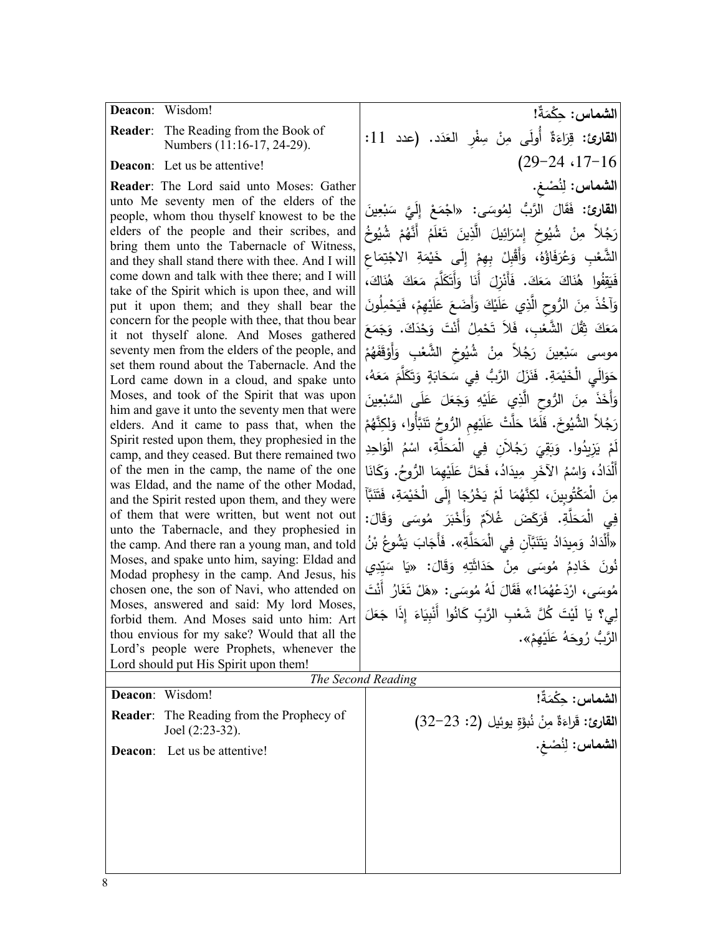## **Deacon**: Wisdom!

**Reader**: The Reading from the Book of Numbers (11:16-17, 24-29).

**Deacon**: Let us be attentive!

**Reader**: The Lord said unto Moses: Gather unto Me seventy men of the elders of the people, whom thou thyself knowest to be the elders of the people and their scribes, and bring them unto the Tabernacle of Witness, and they shall stand there with thee. And I will come down and talk with thee there; and I will take of the Spirit which is upon thee, and will put it upon them; and they shall bear the concern for the people with thee, that thou bear it not thyself alone. And Moses gathered seventy men from the elders of the people, and set them round about the Tabernacle. And the Lord came down in a cloud, and spake unto Moses, and took of the Spirit that was upon him and gave it unto the seventy men that were elders. And it came to pass that, when the Spirit rested upon them, they prophesied in the camp, and they ceased. But there remained two of the men in the camp, the name of the one was Eldad, and the name of the other Modad, and the Spirit rested upon them, and they were of them that were written, but went not out unto the Tabernacle, and they prophesied in the camp. And there ran a young man, and told Moses, and spake unto him, saying: Eldad and Modad prophesy in the camp. And Jesus, his chosen one, the son of Navi, who attended on Moses, answered and said: My lord Moses, forbid them. And Moses said unto him: Art thou envious for my sake? Would that all the Lord's people were Prophets, whenever the

ا**لشماس :** حِكْمَةٌ!<br>م ا**لقارئ:** قِرَاءَةٌ أُولَى مِنْ سِفْرِ العَدَد. (عدد 11:| (29-24 ،17-16 ا**لشماس:** لِنُصْغِ. ا**لقارئ:** فَقَالَ الرَّبُّ لِمُوسَى: «اجْمَعْ إِلَيَّ سَبْعِينَ<br>. ِّ مِنْ شُيُوخِ إِسْرَائِيلَ الَّذِينَ تَعْلَمُ أَنَّهُمْ شُيُوخُ<br>\* ْ ُلا ؘ<br>ؚ ر الشَّعْبِ وَعُرَفَاؤُهُ، وَأَقْبِلْ بِهِمْ إِلَى خَيْمَةِ الاجْتِمَاعِ<br>. **:** ْ فَيَقِفُوا هُنَاكَ مَعَكَ. فَأَنْزِلَ أَنَا وَأَتَكَلَّمَ مَعَكَ هُنَاكَ، |<br>... <u>َ</u> ْ وَآخُذَ مِنَ الرُّوحِ الَّذِي عَلَيْكَ وَأَضَعَ عَلَيْهِمْ، فَيَحْمِلُونَ **ٔ** مَعَكَ ثِقْلَ الشَّعْبِ، فَلاَ تَحْمِلُ أَنْتَ وَحْدَكَ. وَجَمَعَ<br>مَعَكَ ثِقْلَ الشَّعْبِ، فَلاَ تَحْمِلُ أَنْتَ وَحْدَكَ. وَجَمَعَ َ َف ْ ق أَو َ ْ ِب و ُ ِوخ َّ الشع ْ ُ شی ِن ً م ُلا َج َ ر ِین ْع � َ ْ موسى س م ُ ه حَوَالَيِ الْخَيْمَةِ. فَنَزَلَ الرَّبُّ فِي سَحَابَةٍ وَتَكَلَّمَ مَعَهُ،<br>مَعَنَّمَ الْجَيْمَةِ الْمَنْزَلِ الرَّبُّ فِي سَحَابَةٍ وَتَكَلَّمَ مَعَهُ، َ ِین ْع َ َّ ى الس� ل َ َ ع َل َع َج ِ و ْه �َ ل َ ِي ع َّذ َ ُّ الر ِوح ال ِن َ َذ م أَخ و َ ْ رَجُلاً الشُّيُوخَ. فَلَمَّا حَلَّتْ عَلَيْهِمِ الرُّوحُ تَتَبَّأُوا، وَلِكِنَّهُمْ<br>ِ **ّ** َ لَمْ يَزِيدُوا. وَبَقِيَ رَجُلاَنِ فِي الْمَحَلَّةِ، اسْمُ الْوَاحِدِ<br>َ أَلْدَادُ، وَاسْمُ الآخَرِ مِيدَادُ، فَحَلَّ عَلَيْهِمَا الرُّوحُ. وَكَانَا |<br>. **ّ** مِنَ الْمَكْتُوبِينَ، لكِنَّهُمَا لَمْ يَخْرُجَا إِلَى الْخَيْمَةِ، فَتَنَبَّآ فِي الْمَحَلَّةِ. فَرَكَضَ غُلاَمٌ وَأَخْبَرَ مُوسَى وَقَالَ:<br>-«أَلْدَادُ وَمِيدَادُ يَتَتَبَّآنِ فِي الْمَحَلَّةِ». فَأَجَابَ يَشُوعُ بْنُ نُونَ خَادِمُ مُوسَى مِنْ حَدَاثَتِهِ وَقَالَ: «يَا سَيِّدِي | مُوسَى، ارْدَعْهُمَا!» فَقَالَ لهُ مُوسَى: «هَلْ تَغَارُ أَنْتَ لِي؟ يَا لَيْتَ كُلَّ شَعْبِ الرَّبِّ كَانُوا أَنْبِيَاءَ إِذَا جَعَلَ ْ ْ الرَّبُّ رُوحَهُ عَلَيْهِمْ». **ٔ** 

| Lord should put His Spirit upon them!                                 |                                                 |
|-----------------------------------------------------------------------|-------------------------------------------------|
| The Second Reading                                                    |                                                 |
| Deacon: Wisdom!                                                       | الشماس: حكْمَةٌ!                                |
| <b>Reader:</b> The Reading from the Prophecy of<br>Joel $(2:23-32)$ . | القارئ: قَراءَةٌ مِنْ نُبوَّةٍ يوئيل (2: 23–32) |
| <b>Deacon:</b> Let us be attentive!                                   | الشماس: لِنُصْغِ.                               |
|                                                                       |                                                 |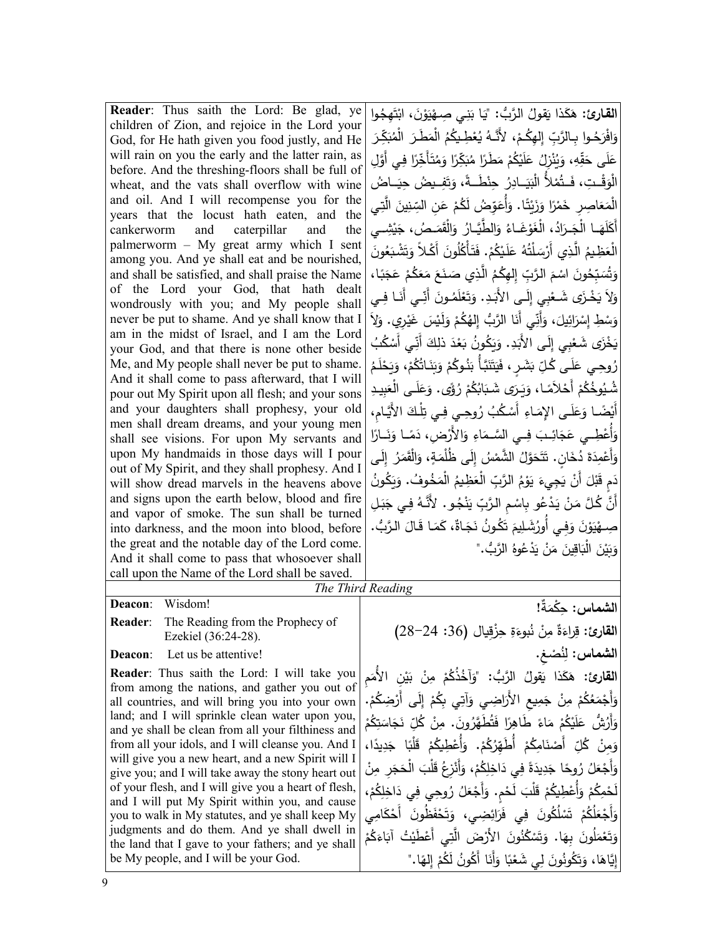**Reader**: Thus saith the Lord: Be glad, ye children of Zion, and rejoice in the Lord your God, for He hath given you food justly, and He will rain on you the early and the latter rain, as before. And the threshing-floors shall be full of wheat, and the vats shall overflow with wine and oil. And I will recompense you for the years that the locust hath eaten, and the cankerworm and caterpillar and the palmerworm – My great army which I sent among you. And ye shall eat and be nourished, and shall be satisfied, and shall praise the Name of the Lord your God, that hath dealt wondrously with you; and My people shall never be put to shame. And ye shall know that I am in the midst of Israel, and I am the Lord your God, and that there is none other beside Me, and My people shall never be put to shame. And it shall come to pass afterward, that I will pour out My Spirit upon all flesh; and your sons and your daughters shall prophesy, your old men shall dream dreams, and your young men shall see visions. For upon My servants and upon My handmaids in those days will I pour out of My Spirit, and they shall prophesy. And I will show dread marvels in the heavens above and signs upon the earth below, blood and fire and vapor of smoke. The sun shall be turned into darkness, and the moon into blood, before the great and the notable day of the Lord come. And it shall come to pass that whosoever shall call upon the Name of the Lord shall be saved.

ا**لقارئ:** هَكَذا يَقولُ الرَّبُ: "يَا بَنِي صِـهْيَوْنَ، ابْتَهِجُوا |<br>' .<br>. **ٔ** وَافْرَحُـوا بِـالرَّبِّ إِلـهِكُـمْ، لأَنَّـهُ يُعْطِـيكُمُ الْمَطَـرَ الْمُبَكِّرَ ْ ِـي أََّوِل ًا ف ِر ـأَخ ّ َ ت ُ َم ًا و ِـر ّ َك � ُ ًا م َ َطـر ْ م ُم ْك �َ ل َ ُ ع ِزل ن ُ � َ ،ِ و ِه ّ ق َ َى ح ل ع <u>ٔ</u> َ الْوَقْـتِ، فَـتُمْلأُ الْبَيَــادِرُ ِ حِنْطَــةً، وَتَفِـيضُ حِيَــاضُ ق َ � الْمَعَاصِرِ خَمْرًا وَزَيْتًا. وَأُعَوِّضُ لَكُمْ عَنِ السِّنِينَ الَّتِي |<br>يَجْمَعَنِّ مِنْ الْمَسَلِّينَ الْمَسَلِّينَ الْمَسَلِّينَ الْمَسَلِّينَ الْمَسَلِّينَ الْمَسَلِّينَ الْمَسْلِ **المستقبل** شِـــي<br>ــــــي ْ � *َــصُ، جَ*ه<br>ت أَكَلَهَــا الْجَــرَادُ، الْغَوْغَــاءُ وَالطَّيَّــارُ وَالْقَمَـ<br>أَكَلَهَــا الْجَــرَادُ، الْغَوْغَــاءُ وَالطَّيَّــارُ الْعَظِيمُ الَّذِي أَرْسَلْتُهُ عَلَيْكُمْ. فَتَأْكُلُونَ أَكْلاً وَتَشْبَعُونَ َ وَتُسَبِّحُونَ اسْمَ الرَّبِّ إِلهِكُمُ الَّذِي صَنَعَ مَعَكُمْ عَجَبًا، | ُس ت وَلاَ يَخْزَى شَـعْنِيِ إِلَـى الأَبَـدِ. وَتَعْلَمُـونَ أَنِّـي أَنَـا فِـي ٍ ْ ْ وَسْطِ إِسْرَائِيلَ، وَأَنِّي أَنَا الرَّبُ إِلهُكُمْ وَلَيْسَ غَيْرِي. وَلاَ **ٔ** ْ يَخْزَى شَعْبِي إِلَى الأَبَدِ. وَيَكُونُ بَعْدَ ذلِكَ أَنِّي أَسْكُبُ ْ رُوحِي عَلَى كُلِّ بَشَرٍ، فَيَتَنَبَّأُ بَنُوكُمْ وَبَنَاتُكُمْ، وَيَحْلَمُ<br>. **ٔ** ًى. ُ ؤ ْ ر ُم ُك َا� َى َ شــ� َــر � َ ًــا، و َم ْلا ْ أَح ُم ُك ُوخ ِ ُشــی ِبیــد َ َ ْ ــى الع ل َ َع و أَيْضًا وَعَلَى الإِمَاءِ أَسْكُبُ رُوحِيٍ فِي تِلْكَ الأَيَّامِ، |<br>مُ وَأُعْطِــي عَجَائِــبَ فِــي السَّـمَاءِ وَالأَرْضِ، دَمَــا وَنَــارًا |<br>يَسْمَعُ السَّــمَاءِ ْ وَأَعْمِدَة دُخَانٍ. تَتَحَوَّلُ الشَّمْسُ إِلَى ظُلْمَةٍ، وَالْقَمَرُ إِلَى َ دَمٍ قَبْلَ أَنْ يَجِيءَ يَوْمُ الرَّبِّ الْعَظِيمُ الْمَخُوفُ. وَيَكُونُ<br>يَهِ مَثَلِّ أَنْ يَجِيءَ يَوْمُ الرَّبِّ الْعَظِيمُ الْمَخُوفُ. وَيَكُونُ أَنَّ كُلَّ مَنْ يَدْعُو بِاسْمِ الرَّبِّ يَنْجُو. لأَنَّهُ فِي جَبَلِ ْ صِــهْيَوْنَ وَفِـي أُورُشَـلِيمَ تَكُونُ نَجَـاةٌ، كَمَـا قَـالَ الـرَّبُّ. |<br>-وَبَيْنَ الْبَاقِينَ مَنْ يَدْعُوهُ الرَّبُّ."<br>-<u>َ</u> َ

## *The Third Reading*

**Deacon**: Wisdom!

**Reader**: The Reading from the Prophecy of Ezekiel (36:24-28).

**Deacon**: Let us be attentive!

**Reader**: Thus saith the Lord: I will take you from among the nations, and gather you out of all countries, and will bring you into your own land; and I will sprinkle clean water upon you, and ye shall be clean from all your filthiness and from all your idols, and I will cleanse you. And I will give you a new heart, and a new Spirit will I give you; and I will take away the stony heart out of your flesh, and I will give you a heart of flesh, and I will put My Spirit within you, and cause you to walk in My statutes, and ye shall keep My judgments and do them. And ye shall dwell in the land that I gave to your fathers; and ye shall be My people, and I will be your God.

ا**لشماس:** حِكْمَةٌ!<br>. ا**لقارئ:** قِراءَةٌ مِنْ نُبوءَةِ حِزْقِيال (36: 24–28)<br>ا ُ ْص **الشماس** ِغ. ِن : ل ا**لقارئ:** هَكَذا يَقولُ الرَّبُ: "وَآخُذُكُمْ مِنْ بَيْنِ الأُمَمِ <u>ٔ</u> وَأَجْمَعُكُمْ مِنْ جَمِيعِ الأَرَاضِيِ وَآتِي بِكُمْ إِلَى أَرْضِكُمْ. |<br>أَجْمَعُكُمْ مِنْ جَمِيعِ الأَرَاضِيِ وَآتِي بِكُمْ إِلَى أَرْضِكُمْ. َ ْ ُم ِك ت َ َاس َج ِ ن ّ ُل � ْ ِن َ . م ُ ون ُ َطَّهر َت ًا ف ِر ً َ طاه َاء ْ م ُم ْك �َ ل َ ُ ُّش ع أَر و َ ْ وَمِنْ كُلِّ أَصْنَامِكُمْ أُطَهِّرُكُمْ. وَأُعْطِيكُمْ قَلْبًا جَدِيدًا،<br>يَسْتَمَرَّضْ الْمَسْتَمِرَ ْ .<br>-وَأَجْعَلُ رُوحًا جَدِيدَةً فِي دَاخِلِكُمْ، وَأَنْزِعُ قَلْبَ الْحَجَرِ مِنْ<br>. َ لَحْمِكُمْ وَأُعْطِيكُمْ قَلْبَ لَحْمٍ. وَأَجْعَلُ رُوحِي فِي دَاخِلِكُمْ، |<br>يَحْمِدُ ْ وَأَجْعَلُكُمْ تَسْلُكُونَ فِي فَرَائِضِي، وَتَحْفَظُونَ أَحْكَامِي | ْ ُم َك َاء ْ ُت آ� ْ َطی ِي أَع َّت ْ َض ال َ الأَر ُون ُن ْ ك َس ت َ َا. و َ ِ به ُون ل َ ْم َع ت و َ إِيَّاهَا، وَتَكُونُونَ لِي شَعْبًا وَأَنَا أَكُونُ لَكُمْ إِلهًا."<br>\*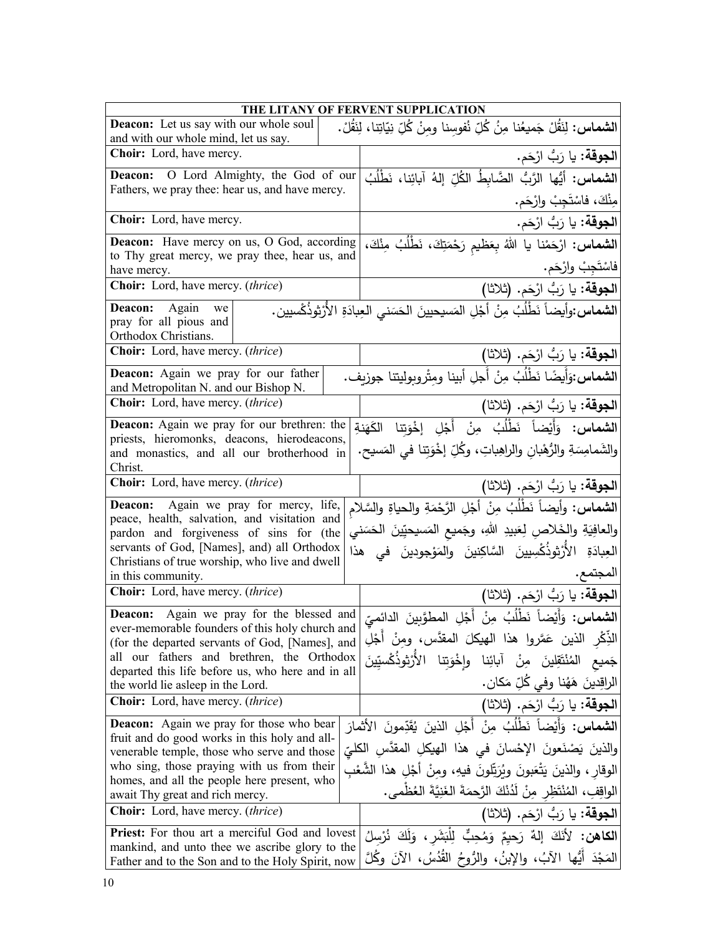|                                                                                                                                                                                  |  | THE LITANY OF FERVENT SUPPLICATION                                                                                                          |  |  |
|----------------------------------------------------------------------------------------------------------------------------------------------------------------------------------|--|---------------------------------------------------------------------------------------------------------------------------------------------|--|--|
| <b>Deacon:</b> Let us say with our whole soul<br>and with our whole mind, let us say.                                                                                            |  | ا <b>لشماس:</b> لِنَقُلْ جَميعُنا مِنُ كُلِّ نُفوسِنا ومِنْ كُلِّ نِيَاتِنا، لِنَقُلْ.                                                      |  |  |
| Choir: Lord, have mercy.                                                                                                                                                         |  | ا <b>لجوقة:</b> يا رَبُّ ارْحَم.                                                                                                            |  |  |
| O Lord Almighty, the God of our<br>Deacon:                                                                                                                                       |  | الشماس: أيُّها الرَّبُ الضَّابطُ الكُلِّ إِلهُ آبائِنا، نَطْلُبُ                                                                            |  |  |
| Fathers, we pray thee: hear us, and have mercy.                                                                                                                                  |  | مِنْكَ، فاسْتَجِبْ وارْحَم.                                                                                                                 |  |  |
| Choir: Lord, have mercy.                                                                                                                                                         |  | ا <b>لجوقة:</b> يا رَبُّ ارْحَم.                                                                                                            |  |  |
| Deacon: Have mercy on us, O God, according                                                                                                                                       |  | ا <b>لشماس:</b> ارْحَمْنا يا اللهُ بِعَظيم رَحْمَتِكَ، نَطْلُبُ مِنْكَ،                                                                     |  |  |
| to Thy great mercy, we pray thee, hear us, and<br>have mercy.                                                                                                                    |  | فاسْتَجِبْ وارْحَم.                                                                                                                         |  |  |
| Choir: Lord, have mercy. (thrice)                                                                                                                                                |  | ا <b>لجوقة:</b> يا رَبُّ ارْحَم. (ثلاثا)                                                                                                    |  |  |
| Again<br>ا <b>لشماس:</b> وأيضاً نَطْلُبُ مِنْ أَجْلِ المَسيحيينَ الحَسَني العِبادَةِ الأَرْثوذُكُسيين.<br><b>Deacon:</b><br>we<br>pray for all pious and<br>Orthodox Christians. |  |                                                                                                                                             |  |  |
| Choir: Lord, have mercy. (thrice)                                                                                                                                                |  | ا <b>لجوقة:</b> يا رَبُّ ارْحَم. (ثلاثا)                                                                                                    |  |  |
| Deacon: Again we pray for our father<br>and Metropolitan N. and our Bishop N.                                                                                                    |  | الشماس:وَأَيضًا نَطْلُبُ مِنْ أَجلِ أبينا ومِثْروبوليتنا جوزيف.                                                                             |  |  |
| <b>Choir:</b> Lord, have mercy. (thrice)                                                                                                                                         |  | [الجوقة: يا رَبُّ ارْحَم. (ثلاثا)                                                                                                           |  |  |
| Deacon: Again we pray for our brethren: the<br>priests, hieromonks, deacons, hierodeacons,<br>and monastics, and all our brotherhood in<br>Christ.                               |  | <b>الشماس:</b> وَأَيْضاً نَطْلُبُ مِنْ أَجْلِ إِخْوَتِنا الكَهَنةِ<br>والشَمامِسَةِ والرُّهْبانِ والراهِباتِ، وكُلِّ إخْوَتِنا في المَسيحِ. |  |  |
| <b>Choir:</b> Lord, have mercy. <i>(thrice)</i>                                                                                                                                  |  | الجوقة: يا رَبُّ ارْحَم. (ثلاثا)                                                                                                            |  |  |
| Deacon: Again we pray for mercy, life,                                                                                                                                           |  | ا <b>لشماس:</b> وأيضاً نَطْلُبُ مِنْ أَجْلِ الرَّحْمَةِ والحياةِ والسَّلام                                                                  |  |  |
| peace, health, salvation, and visitation and<br>pardon and forgiveness of sins for (the                                                                                          |  | والعافِيَةِ والخَلاصِ لِعَبيدِ اللهِ، وجَميعِ المَسيحيِّينَ الحَسَني                                                                        |  |  |
| servants of God, [Names], and) all Orthodox                                                                                                                                      |  | العِبادَةِ الأُرْثوذُكْسِيينَ السَّاكِنينَ والمَوْجودينَ في هذا                                                                             |  |  |
| Christians of true worship, who live and dwell                                                                                                                                   |  | المجتمع.                                                                                                                                    |  |  |
| in this community.<br><b>Choir:</b> Lord, have mercy. (thrice)                                                                                                                   |  | [الجوقة: يا رَبُّ ارْحَم. (ثلاثا)                                                                                                           |  |  |
| Deacon: Again we pray for the blessed and                                                                                                                                        |  |                                                                                                                                             |  |  |
| ever-memorable founders of this holy church and                                                                                                                                  |  | ا <b>لشماس:</b> وَأَيْضاً نَطْلُبُ مِنْ أَجْلِ المطوَّبِينَ الدائميِّ                                                                       |  |  |
| (for the departed servants of God, [Names], and                                                                                                                                  |  | الذِّكْرِ  الَّذينِ  عَمَّروا  هذا  الهيكلَ  المقدَّس،  ومنْ  أَجْلِ                                                                        |  |  |
| all our fathers and brethren, the Orthodox<br>departed this life before us, who here and in all                                                                                  |  | الأزثوذَكْسيّينَ<br>المُنْتَقِلِينَ مِنْ آبائِنا وإِخْوَتِنا                                                                                |  |  |
| the world lie asleep in the Lord.                                                                                                                                                |  | الراقِدينَ هَهُنا وفي كُلِّ مَكان.                                                                                                          |  |  |
| <b>Choir:</b> Lord, have mercy. <i>(thrice)</i>                                                                                                                                  |  | ا <b>لجوقة:</b> يا رَبُّ ارْحَم. (ثلاثا)                                                                                                    |  |  |
| <b>Deacon:</b> Again we pray for those who bear<br>fruit and do good works in this holy and all-                                                                                 |  | ا <b>لشماس:</b> وَأَيْضاً نَطْلُبُ مِنْ أَجْلِ الذينَ يُقَدِّمونَ الأَثمارَ                                                                 |  |  |
| venerable temple, those who serve and those                                                                                                                                      |  | والذينَ يَصْنَعونَ الإِحْسانَ في هذا الهيكلِ المقدَّسِ الكليِّ                                                                              |  |  |
| who sing, those praying with us from their                                                                                                                                       |  | الوقار ، والذينَ يَتْعَبونَ ويُرَتِّلونَ فيهِ، ومنْ أَجْلِ هذا الشَّعْبِ                                                                    |  |  |
| homes, and all the people here present, who<br>await Thy great and rich mercy.                                                                                                   |  | الواقِفِ، المُنْتَظِرِ مِنْ لَدُنْكَ الرَّحمَةَ الغَنِيَّةَ العُظْمي.                                                                       |  |  |
| Choir: Lord, have mercy. (thrice)                                                                                                                                                |  | ا <b>لجوقة:</b> يا رَبُّ ارْحَم. (ثلاثا)                                                                                                    |  |  |
| <b>Priest:</b> For thou art a merciful God and lovest                                                                                                                            |  | ا <b>لْكَاهْنِ:</b> لِأَنَكَ إِلَٰهٌ رَحِيمٌ وَمُحِبٌّ لِلْبَشَرِ ، وَلَكَ نُرْسِلُ                                                         |  |  |
| mankind, and unto thee we ascribe glory to the<br>Father and to the Son and to the Holy Spirit, now                                                                              |  | المَجْدَ أَيُّها الآبُ، والإِبنُ، والرُّوحُ القُدُسُ، الآنَ وكُلَّ                                                                          |  |  |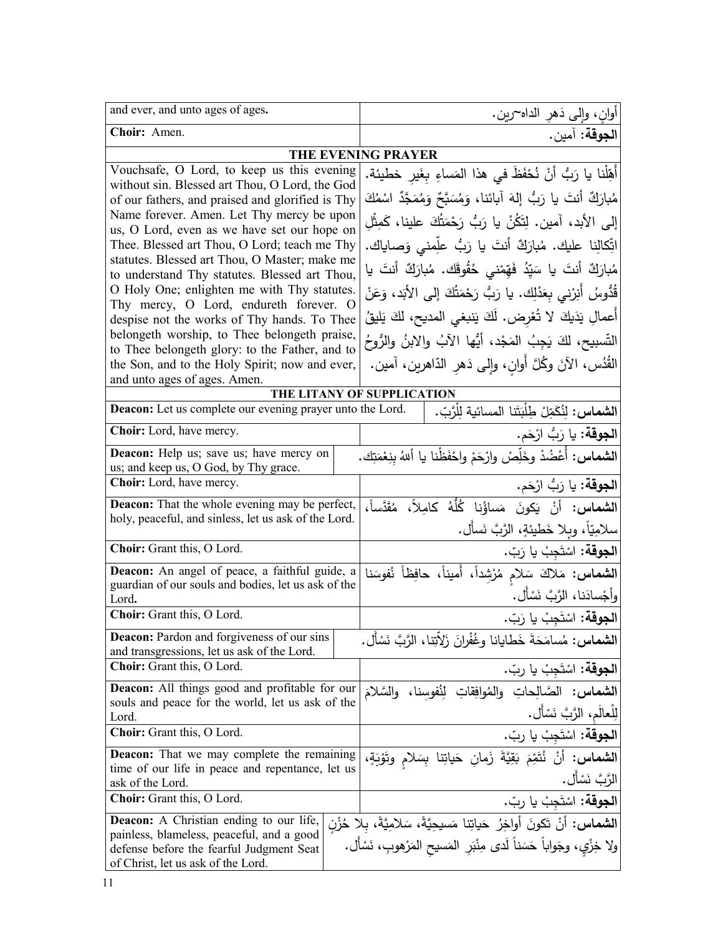| and ever, and unto ages of ages.                                                                                                                                              | اوانٍ، وإلى دَهرِ الداه~رين.                                                                                                                                 |  |  |
|-------------------------------------------------------------------------------------------------------------------------------------------------------------------------------|--------------------------------------------------------------------------------------------------------------------------------------------------------------|--|--|
| Choir: Amen.                                                                                                                                                                  | ا <b>لجوقة:</b> آمين.                                                                                                                                        |  |  |
| THE EVENING PRAYER                                                                                                                                                            |                                                                                                                                                              |  |  |
| Vouchsafe, O Lord, to keep us this evening<br>without sin. Blessed art Thou, O Lord, the God<br>of our fathers, and praised and glorified is Thy                              | أَهِّلْنا يا رَبُّ أَنْ نُحْفَظَ في هذا المَساءِ بغَير خطيئة.<br>مُبارَكٌ أنتَ يا رَبُّ إِلهَ آبائنا، وَمُسَبَّحٌ وَمُمَجَّدٌ اسْمُكَ                        |  |  |
| Name forever. Amen. Let Thy mercy be upon                                                                                                                                     | إِلَى الأَبِد، آمين. لِتَكُنْ يا رَبُّ رَحْمَتُكَ علينا، كَمِثْلِ                                                                                            |  |  |
| us, O Lord, even as we have set our hope on<br>Thee. Blessed art Thou, O Lord; teach me Thy                                                                                   | اتِّكالِنا عليك. مُبارَكٌ أنتَ يا رَبُّ علِّمني وَصاياك.                                                                                                     |  |  |
| statutes. Blessed art Thou, O Master; make me<br>to understand Thy statutes. Blessed art Thou,                                                                                | مُبارَكٌ أَنتَ يا سَيِّدُ فَهِّمْنى خُقُوقَك. مُبارَكٌ أنتَ يا                                                                                               |  |  |
| O Holy One; enlighten me with Thy statutes.<br>Thy mercy, O Lord, endureth forever. O                                                                                         | قُدُّوسُ أَنِرْنى بِعَدْلِك. يا رَبُّ رَحْمَتُكَ إِلى الأَبَد، وَعَنْ                                                                                        |  |  |
| despise not the works of Thy hands. To Thee                                                                                                                                   | أعمالِ يَدَيكَ لا تُعْرِض. لَكَ يَنبغي المديح، لكَ يَليقُ                                                                                                    |  |  |
| belongeth worship, to Thee belongeth praise,<br>to Thee belongeth glory: to the Father, and to                                                                                | التَّسبيح، لكَ يَجِبُ المَجْد، أَيُّها الآبُ والابنُ والرُّوحُ                                                                                               |  |  |
| the Son, and to the Holy Spirit; now and ever,<br>and unto ages of ages. Amen.                                                                                                | القُدُس، الآنَ وكُلَّ أُوان، وإلى دَهر الدّاهرين، آمين.                                                                                                      |  |  |
|                                                                                                                                                                               | THE LITANY OF SUPPLICATION                                                                                                                                   |  |  |
| Deacon: Let us complete our evening prayer unto the Lord.                                                                                                                     | الشماس: لِنُكَمِّلْ طِلْبَتَنا المسائية لِلْرَّبِّ.                                                                                                          |  |  |
| Choir: Lord, have mercy.                                                                                                                                                      | ا <b>لجوقة:</b> يا رَبُّ ارْحَم.                                                                                                                             |  |  |
| <b>Deacon:</b> Help us; save us; have mercy on<br>us; and keep us, O God, by Thy grace.                                                                                       | ا <b>لشماس:</b> أُعْضُدْ وخَلِّصْ وارْحَمْ واحْفَظْنا يا أللهُ بِنِعْمَتِك.                                                                                  |  |  |
| Choir: Lord, have mercy.                                                                                                                                                      | ا <b>لجوقة:</b> يا رَبُّ ارْحَم.                                                                                                                             |  |  |
| Deacon: That the whole evening may be perfect,<br>holy, peaceful, and sinless, let us ask of the Lord.                                                                        | ا <b>لشماس:</b> أَنْ يَكونَ مَساؤُنا كُلُّهُ كامِلاً، مُقَدَّساً،<br>سلامِيّاً، وبِلا خَطيئةٍ، الرَّبَّ نَسأل.                                               |  |  |
| Choir: Grant this, O Lord.                                                                                                                                                    | ا <b>لجوقة:</b> اسْتَجِبْ يا رَبّ.                                                                                                                           |  |  |
| Deacon: An angel of peace, a faithful guide, a<br>guardian of our souls and bodies, let us ask of the<br>Lord.                                                                | الشماس: مَلاكَ سَلامٍ مُرْشِداً، أَميناً، حافِظاً نُفوسَنا<br>وأجْسادَنا، الرَّبَّ نَسْأَل.                                                                  |  |  |
| Choir: Grant this, O Lord.                                                                                                                                                    | ا <b>لجوقة:</b> اسْتَجِبْ يا رَبّ.                                                                                                                           |  |  |
| <b>Deacon:</b> Pardon and forgiveness of our sins<br>and transgressions, let us ask of the Lord.                                                                              | ا <b>لشماس:</b> مُسامَحَةَ خَطايانا وغُفْرانَ زَلاّتِنا، الرَّبَّ نَسْأَل.                                                                                   |  |  |
| Choir: Grant this, O Lord.                                                                                                                                                    | ا <b>لجوقة:</b> اسْتَجِبْ يا ربّ.                                                                                                                            |  |  |
| <b>Deacon:</b> All things good and profitable for our<br>souls and peace for the world, let us ask of the<br>Lord.                                                            | ا <b>لشماس:</b> الصّالحاتِ والمُوافِقاتِ لِنُفوسِنا، والسَّلامَ<br>لِلْعالَمِ، الرَّبَّ نَسْأَل.                                                             |  |  |
| Choir: Grant this, O Lord.                                                                                                                                                    | ا <b>لجوقة:</b> اسْتَجِبْ يا ربّ.                                                                                                                            |  |  |
| <b>Deacon:</b> That we may complete the remaining<br>time of our life in peace and repentance, let us<br>ask of the Lord.                                                     | الشماس: أَنْ نُتَمِّمَ بَقِيَّةَ زَمانِ حَياتِنا بِسَلامِ وتَوْبَةٍ،<br>الرَّبَّ نَسْأَل.                                                                    |  |  |
| <b>Choir:</b> Grant this, O Lord.                                                                                                                                             | ا <b>لجوقة:</b> اسْتَجِبْ يا ربّ.                                                                                                                            |  |  |
| <b>Deacon:</b> A Christian ending to our life,<br>painless, blameless, peaceful, and a good<br>defense before the fearful Judgment Seat<br>of Christ, let us ask of the Lord. | ال <b>شماس:</b> أنْ تَكونَ أُواخِرُ حَياتِنا مَسيحِيَّةً، سَلامِيَّةً، بلا حُزْنِ<br>ولا خِزْي، وجَواباً حَسَناً لَدى مِنْبَرِ  المَسيح المَرْهوبِ، نَسْأَل. |  |  |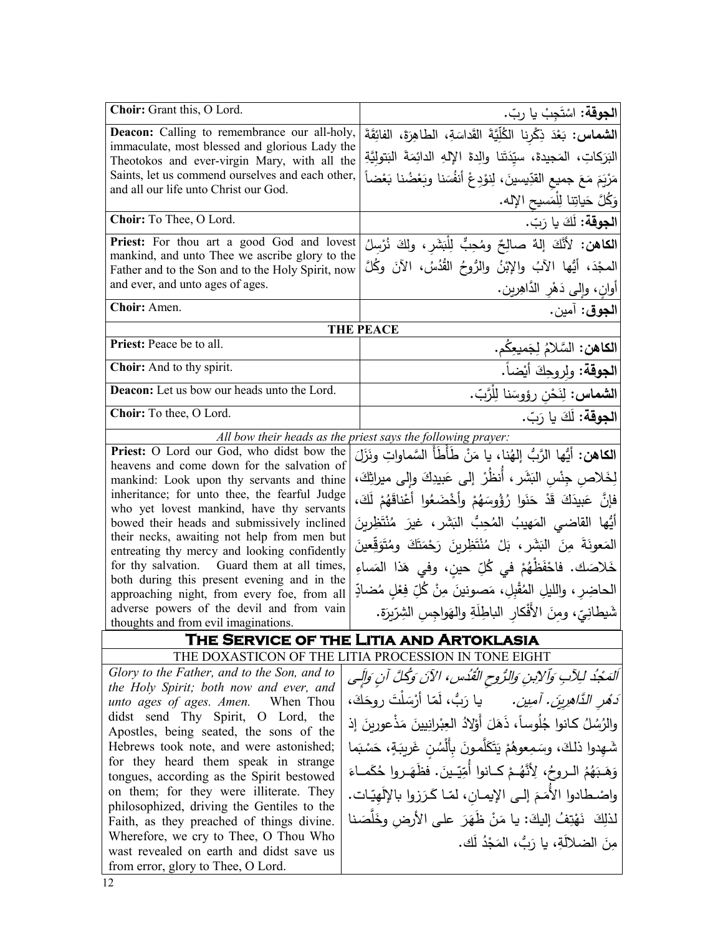| Choir: Grant this, O Lord.                                                                       | <b>الجوقة:</b> اسْتَجِبْ يا ربّ.                                              |
|--------------------------------------------------------------------------------------------------|-------------------------------------------------------------------------------|
| <b>Deacon:</b> Calling to remembrance our all-holy,                                              | الشماس: بَعْدَ ذِكْرِنا الْكُلِّيَّةَ القَداسَةِ، الطاهِرَةَ، الفائِقَةَ      |
| immaculate, most blessed and glorious Lady the                                                   | البَرَكاتِ، المَجيدةَ، سيّدَتَنا والِدةَ الإِلهِ الدائِمَةَ البَتوليَّةِ      |
| Theotokos and ever-virgin Mary, with all the<br>Saints, let us commend ourselves and each other, |                                                                               |
| and all our life unto Christ our God.                                                            | مَرْيَمَ مَعَ جميع القدِّيسينَ، لِنوْدِعْ أَنفُسَنا وبَعْضُنا بَعْضاً         |
|                                                                                                  | وَكُلَّ حَياتِنا لِلْمَسيحِ الإِله.                                           |
| Choir: To Thee, O Lord.                                                                          | ا <b>لجوقة:</b> لَكَ يا رَبّ.                                                 |
| Priest: For thou art a good God and lovest                                                       | ا <b>لكاهن:</b> لأَنَّكَ إِلهٌ صالِحٌ ومُحِبٌّ لِلْبَشَرِ، ولكَ نُرْسلُ       |
| mankind, and unto Thee we ascribe glory to the                                                   | المجْدَ، أَيُّها الآبُ والإِبْنُ والرُّوحُ القُدُسُ، الآنَ وكُلَّ             |
| Father and to the Son and to the Holy Spirit, now                                                |                                                                               |
| and ever, and unto ages of ages.                                                                 | أُوانِ، وَإِلَى دَهْرِ الدَّاهِرِينِ.                                         |
| Choir: Amen.                                                                                     | ا <b>لجوق</b> : آمين.                                                         |
|                                                                                                  | <b>THE PEACE</b>                                                              |
| Priest: Peace be to all.                                                                         | ا <b>لكاهن:</b> السَّلامُ لِجَميعِكُم.                                        |
| Choir: And to thy spirit.                                                                        | ا <b>لجوقة</b> : ولروحِكَ أيْضاً.                                             |
| Deacon: Let us bow our heads unto the Lord.                                                      | ا <b>لشماس:</b> لِنَحْنِ رؤوسَنا لِلْرَّبِّ.                                  |
| Choir: To thee, O Lord.                                                                          | ا <b>لجوقة:</b> لَكَ يا رَبّ.                                                 |
|                                                                                                  | All bow their heads as the priest says the following prayer:                  |
| Priest: O Lord our God, who didst bow the                                                        | ا <b>لكاهن:</b> أيُّها الرَّبُّ إلهُنا، يا مَنْ طَأطَأ السَّماواتِ ونَزَلَ    |
| heavens and come down for the salvation of                                                       |                                                                               |
| mankind: Look upon thy servants and thine                                                        | لِخَلاص جِنْس البَشَر ، أَنظُرْ إلى عَبيدِكَ وإلى ميراثِكَ،                   |
| inheritance; for unto thee, the fearful Judge<br>who yet lovest mankind, have thy servants       | فإنَّ عَبِيدَكَ قَدْ حَنَوا رُؤُوسَهُمْ وأَخْضَعُوا أَعْناقَهُمْ لَكَ،        |
| bowed their heads and submissively inclined                                                      | أَيُّها القاضي المَهيبُ المُحِبُّ البَشَرِ، غيرَ مُنْتَظِرِينَ                |
| their necks, awaiting not help from men but                                                      |                                                                               |
| entreating thy mercy and looking confidently                                                     | الْمَعُونَةَ مِنَ الْبَشَرِ ، بَلْ مُنْتَظِرِينَ رَحْمَتَكَ وِمُتَوَقِّعِينَ  |
| for thy salvation. Guard them at all times,                                                      | خَلاصَك. فاحْفَظْهُمْ في كُلِّ حين، وفي هَذا المَساءِ                         |
| both during this present evening and in the                                                      | الحاضِر ، والليلِ المُقْبلِ، مَصونينَ مِنْ كُلِّ فِعْلِ مُضادِّ               |
| approaching night, from every foe, from all<br>adverse powers of the devil and from vain         |                                                                               |
| thoughts and from evil imaginations.                                                             | شَيطانِيّ، ومنَ الأَفْكارِ الباطِلَةِ والهَواجِسِ الشِرِّيرَةِ.               |
|                                                                                                  | THE SERVICE OF THE LITIA AND ARTOKLASIA                                       |
|                                                                                                  | THE DOXASTICON OF THE LITIA PROCESSION IN TONE EIGHT                          |
| Glory to the Father, and to the Son, and to                                                      | اَلْمَجْدُ لِلِآبِ وَٱلْإِبنِ وَالرُّوحِ الْقُدُسِ، الآنَ وَكُلَّ آنِ وَإِلَى |
| the Holy Spirit; both now and ever, and                                                          |                                                                               |
| unto ages of ages. Amen. When Thou                                                               | دَ <i>مُو الدَّاهِرِينَ. آمِين.</i> يا رَبُّ، لَمَّا أَرْسَلْتَ روحَكَ،       |
| didst send Thy Spirit, O Lord, the<br>Apostles, being seated, the sons of the                    | والرُسُلُ كانوا جُلُوساً، ذَهَلَ أَوْلادُ العِبْرانِيينَ مَذْعورينَ إذ        |
| Hebrews took note, and were astonished;                                                          | شَهدوا ذلكَ، وسَمِعوهُمْ يَتَكَلَّمونَ بِأَلْسُنِ غَرِيبَةٍ، حَسْبَما         |
| for they heard them speak in strange                                                             |                                                                               |
| tongues, according as the Spirit bestowed                                                        | وَهَـبَهُمُ الـروحُ، لِأَنَّهُـمْ كــانوا أُمِّيّـينَ. فظَهَـروا حُكَمــاءَ   |
| on them; for they were illiterate. They                                                          | واصْطادوا الأُمَمَ إلـى الإيمـان، لمّـا كَرَزوا بالإلَهيّـات.                 |
| philosophized, driving the Gentiles to the                                                       |                                                                               |
| Faith, as they preached of things divine.                                                        | لذلِكَ   نَهْتِفُ إليكَ: يا مَنْ ظَهَرَ   على الأرض وخَلَّصَنا                |
| Wherefore, we cry to Thee, O Thou Who                                                            | منَ الضلالَةِ، يا رَبُّ، المَجْدُ لَك.                                        |
| wast revealed on earth and didst save us<br>from error, glory to Thee, O Lord.                   |                                                                               |
|                                                                                                  |                                                                               |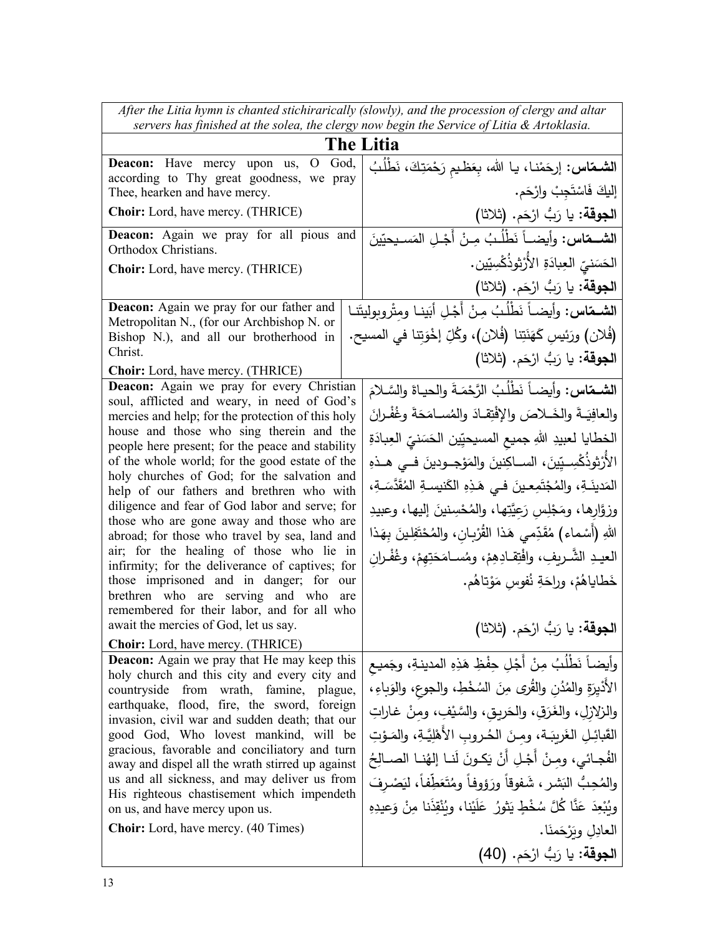| servers has finished at the solea, the clergy now begin the Service of Litia & Artoklasia.                                                                    |
|---------------------------------------------------------------------------------------------------------------------------------------------------------------|
| <b>The Litia</b>                                                                                                                                              |
| God,<br>ا <b>لشماس:</b> إرحَمْنـا، يـا الله، بِعَظـيم رَحْمَتِكَ، نَطْلُبُ                                                                                    |
| according to Thy great goodness, we pray<br>إليكَ فَاسْتَجِبْ وارْحَم.                                                                                        |
| الجوقة: يا رَبُّ ارْحَم. (ثلاثا)                                                                                                                              |
| Deacon: Again we pray for all pious and<br>ا <b>لشــمّاس:</b> وأيضــاً نَطْلُـبُ مِـنْ أَجْـل المَسـيحيّينَ                                                   |
| الحَسَنىّ العِبادَةِ الأُرْثوذُكْسِيّين.                                                                                                                      |
| ا <b>لجوقة:</b> يا رَبُّ ارْحَم. (ثلاثا)                                                                                                                      |
| ا <b>لشمقاس:</b> وأيضـاً نَطْلُبُ مِنْ أَجْلِ أبَينـا ومثْروبوليتَنـا                                                                                         |
| (فُلان) ورَئِيسِ كَهَنَتِنا (فُلان)، وكُلِّ إخْوَتِنا في المسيح.                                                                                              |
| ا <b>لجوقة:</b> يا رَبُّ ارْحَم. (ثلاثا)                                                                                                                      |
|                                                                                                                                                               |
| Deacon: Again we pray for every Christian<br>الشمقاس: وأيضـاً نَطْلُبُ الرَّحْمَـةَ والحيـاةَ والسَّـلامَ<br>soul, afflicted and weary, in need of God's      |
| والعافِيَـةَ والخَــلاصَ والإفْتِقـادَ والمُسـامَحَةَ وغُفْـرانَ<br>mercies and help; for the protection of this holy                                         |
| house and those who sing therein and the<br>الخطايا لعبيدِ اللهِ جميع المسيحيِّين الحَسَنيِّ العِبادَةِ<br>people here present; for the peace and stability   |
| الأَرْثِوذُكْسِـيِّينَ، الســاكِنينَ والمَوْجــودينَ فــى هــذهِ<br>of the whole world; for the good estate of the                                            |
| holy churches of God; for the salvation and<br>المَدينَـةِ، والمُجْتَمِعـينَ فـي هَـذِهِ الكَنيسةِ المُقَدَّسَـةِ،                                            |
| help of our fathers and brethren who with<br>diligence and fear of God labor and serve; for<br>وزوَّارِها، ومَجْلِسٍ رَعِيَّتِها، والمُحْسِنينَ إليها، وعبيدِ |
| those who are gone away and those who are<br>اللهِ (أَسْماء) مُقَدِّمى هَذا القُرْبان، والمُحْتَفِلينَ بِهَذا                                                 |
| abroad; for those who travel by sea, land and<br>air; for the healing of those who lie in                                                                     |
| العيـدِ الشَّـريفِ، وافْتِقـادِهِمْ، ومُسـامَحَتِهِمْ، وغُفْـران<br>infirmity; for the deliverance of captives; for                                           |
| خَطاياهُمْ، وراحَةِ نُفوسٍ مَوْتاهُم.<br>those imprisoned and in danger; for our<br>brethren who are serving and who are                                      |
| remembered for their labor, and for all who                                                                                                                   |
| ا <b>لجوقة:</b> يا رَبُّ ارْحَم. (ثلاثا)                                                                                                                      |
| <b>Deacon:</b> Again we pray that He may keep this<br>وأيضاً نَطْلُبُ مِنْ أَجْلِ حِفْظِ هَذِهِ المدينةِ، وجَميع                                              |
| holy church and this city and every city and                                                                                                                  |
| الأَدْيِرَةِ والمُدُنِ والقُرىِ مِنَ السُخْطِ، والجوعِ، والوَباءِ،<br>countryside from wrath, famine, plague,<br>earthquake, flood, fire, the sword, foreign  |
| والزلازلِ، والغَرَقِ، والحَريقِ، والسَّيْفِ، ومنْ غاراتِ<br>invasion, civil war and sudden death; that our                                                    |
| القَبائِلِ الغَريبَـة، ومِنَ الحُـروبِ الأَهْلِيَّـةِ، والمَـوْتِ<br>good God, Who lovest mankind, will be<br>gracious, favorable and conciliatory and turn   |
| الفُجائي، ومنْ أَجْلِ أَنْ يَكونَ لَنـا إلهُنـا الصـالِحُ<br>away and dispel all the wrath stirred up against                                                 |
| us and all sickness, and may deliver us from<br>والمُحِبُّ البَشرِ ، شَفوقاً ورَؤوفاً ومُتَعَطِّفاً، ليَصْرِفَ<br>His righteous chastisement which impendeth  |
| وبُبْعِدَ عَنَّا كُلَّ سُخْطٍ يَثورُ عَلَيْنا، وبُنْقِذَنا مِنْ وَعِيدِهِ                                                                                     |
| العادِلِ ويَرْحَمنَا .                                                                                                                                        |
| ا <b>لجوقة:</b> يا رَبُّ ارْحَم. (40)                                                                                                                         |
|                                                                                                                                                               |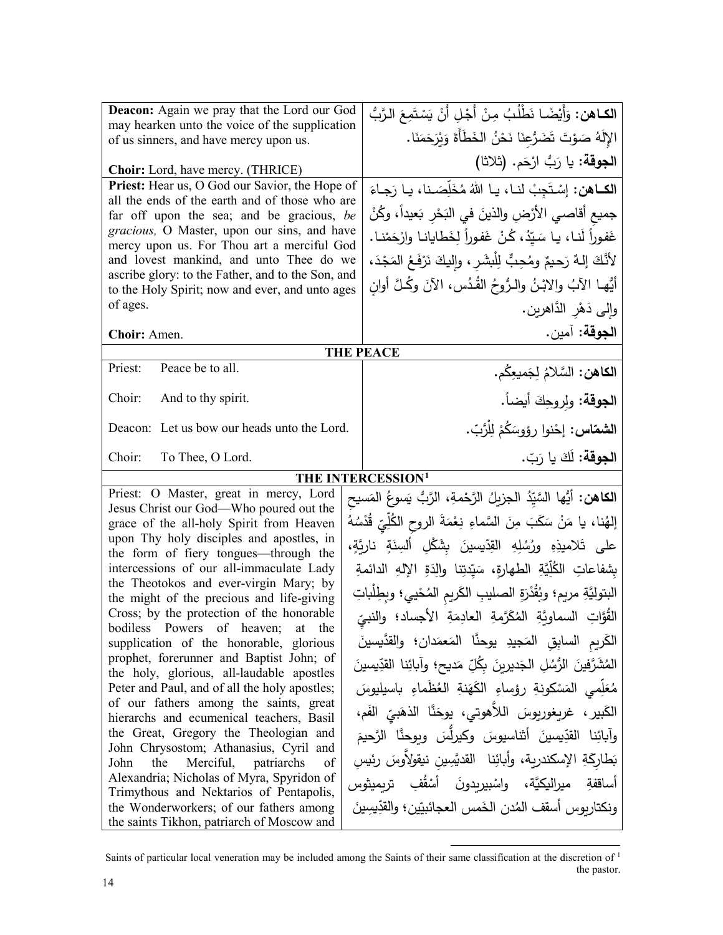| <b>Deacon:</b> Again we pray that the Lord our God                                               | ا <b>لكـاهن:</b> وَأَيْضًـا نَطْلُبُ مِنْ أَجْلِ أَنْ يَسْتَمِعَ الرَّبُّ    |  |
|--------------------------------------------------------------------------------------------------|------------------------------------------------------------------------------|--|
| may hearken unto the voice of the supplication<br>of us sinners, and have mercy upon us.         | الإِلَهُ صَوْتَ تَضَرُّعِنَا نَحْنُ الخَطَأَةَ وَيْرَحَمَنَا.                |  |
|                                                                                                  | ا <b>لجوقة:</b> يا رَبُّ ارْحَم. (ثلاثا)                                     |  |
| <b>Choir:</b> Lord, have mercy. (THRICE)                                                         |                                                                              |  |
| Priest: Hear us, O God our Savior, the Hope of<br>all the ends of the earth and of those who are | الكــاهن: إسْتَجِبْ لنـا، يـا اللهُ مُخَلِّصَـنا، يـا رَجـاءَ                |  |
| far off upon the sea; and be gracious, be                                                        | جميع أقاصـي الأرْضِ والذينَ في البَحْرِ بَعيداً، وكُنْ                       |  |
| gracious, O Master, upon our sins, and have                                                      | غَفوراً لَنـا، يـا سَيّدُ، كُنْ غَفوراً لِخَطايانـا وارْحَمْنـا.             |  |
| mercy upon us. For Thou art a merciful God<br>and lovest mankind, and unto Thee do we            | لأَنَّكَ إِلـهٌ رَحيمٌ ومُحِبٌّ لِلْبِشَرِ ، وإِليكَ نَرْفَعُ المَجْدَ،      |  |
| ascribe glory: to the Father, and to the Son, and                                                |                                                                              |  |
| to the Holy Spirit; now and ever, and unto ages                                                  | أَيُّهـا الآبُ والابْـنُ والـرُّوحُ القُـدُس، الآنَ وكُـلَّ أوان             |  |
| of ages.                                                                                         | وإلى دَهْرِ الدَّاهرين.                                                      |  |
| Choir: Amen.                                                                                     | ا <b>لجوقة:</b> آمين.                                                        |  |
|                                                                                                  | <b>THE PEACE</b>                                                             |  |
| Peace be to all.<br>Priest:                                                                      | ا <b>لكاهن:</b> السَّلامُ لِجَميعِكُم.                                       |  |
| Choir:<br>And to thy spirit.                                                                     | ا <b>لجوقة</b> : ولروحِكَ أيضاً.                                             |  |
| Deacon: Let us bow our heads unto the Lord.                                                      | ا <b>لشماس:</b> إحْنوا رؤوسَكُمْ لِلْرَّبّ.                                  |  |
| Choir:<br>To Thee, O Lord.                                                                       | ا <b>لجوقة:</b> لَكَ يا رَبّ.                                                |  |
| THE INTERCESSION <sup>1</sup>                                                                    |                                                                              |  |
| Priest: O Master, great in mercy, Lord                                                           | ا <b>لكاهن:</b> أيُّها السَّيّدُ الجزيلُ الرَّحْمةِ، الرَّبُّ يَسوعُ المَسيح |  |
| Jesus Christ our God-Who poured out the<br>grace of the all-holy Spirit from Heaven              | إلهُنا، يا مَنْ سَكَبَ مِنَ السَّماءِ نِعْمَةَ الروحِ الكُلِّيّ قُدْسُهُ     |  |
| upon Thy holy disciples and apostles, in                                                         |                                                                              |  |
| the form of fiery tongues—through the                                                            | على تَلاميذِهِ ورُسُلِهِ القِدّيسينَ بِشَكْلِ أَلسِنَةٍ ناريَّةٍ،            |  |
| intercessions of our all-immaculate Lady<br>the Theotokos and ever-virgin Mary; by               | بِشفاعاتِ الكُلِّيَّةِ الطهارةِ، سَيِّدتِنا والِدَةِ الإِلهِ الدائمةِ        |  |
| the might of the precious and life-giving                                                        | البتوليَّةِ مريم؛ وبُقُدْرَةِ الصليبِ الكَريمِ المُحْييِ؛ وبطِلْباتِ         |  |
| Cross; by the protection of the honorable                                                        | القُوَّاتِ السماويَّةِ المُكَرَّمةِ العادِمَةِ الأجساد؛ والنبيِّ             |  |
| bodiless Powers of heaven; at the<br>supplication of the honorable, glorious                     | الكَرِيمِ السابِقِ المَجِيدِ يوحنَّا المَعمَدانِ؛ والقدَّيسينَ               |  |
| prophet, forerunner and Baptist John; of                                                         |                                                                              |  |
| the holy, glorious, all-laudable apostles                                                        | المُشَرَّفينَ الرُّسُلِ الجَديرينَ بكُلِّ مَديحِ؛ وآبائِنا القدِّيسينَ       |  |
| Peter and Paul, and of all the holy apostles;                                                    | مُعَلِّمي المَسْكونةِ رؤساءِ الكَهَنةِ العُظَماءِ باسيليوسَ                  |  |
| of our fathers among the saints, great<br>hierarchs and ecumenical teachers, Basil               | الكَبير ، غريغوريوسَ اللاَّهوتي، يوحَنَّا الذهَبيِّ الفَم،                   |  |
| the Great, Gregory the Theologian and                                                            | وآبائِنا القدِّيسينَ أثناسيوسَ وكيرلُّسَ وبوحنَّا الرَّحيمَ                  |  |
|                                                                                                  |                                                                              |  |
| John Chrysostom; Athanasius, Cyril and                                                           |                                                                              |  |
| John<br>Merciful, patriarchs<br>the<br>of                                                        | بَطارِكَةِ الإسكندرية، وأبائِنا ِ القديَّسِينِ نيقولِأُوسَ رئيس              |  |
| Alexandria; Nicholas of Myra, Spyridon of                                                        | أساقفةِ ميراليكيَّة، واسْبيربدونَ أَسْقُفِ تربميثوس                          |  |
| Trimythous and Nektarios of Pentapolis,<br>the Wonderworkers; of our fathers among               | ونكتاربوس أسقف المُدن الخَمس العجائبيّين؛ والقدِّيسِينَ                      |  |

<span id="page-13-0"></span>Saints of particular local veneration may be included among the Saints of their same classification at the discretion of  $1$ the pastor.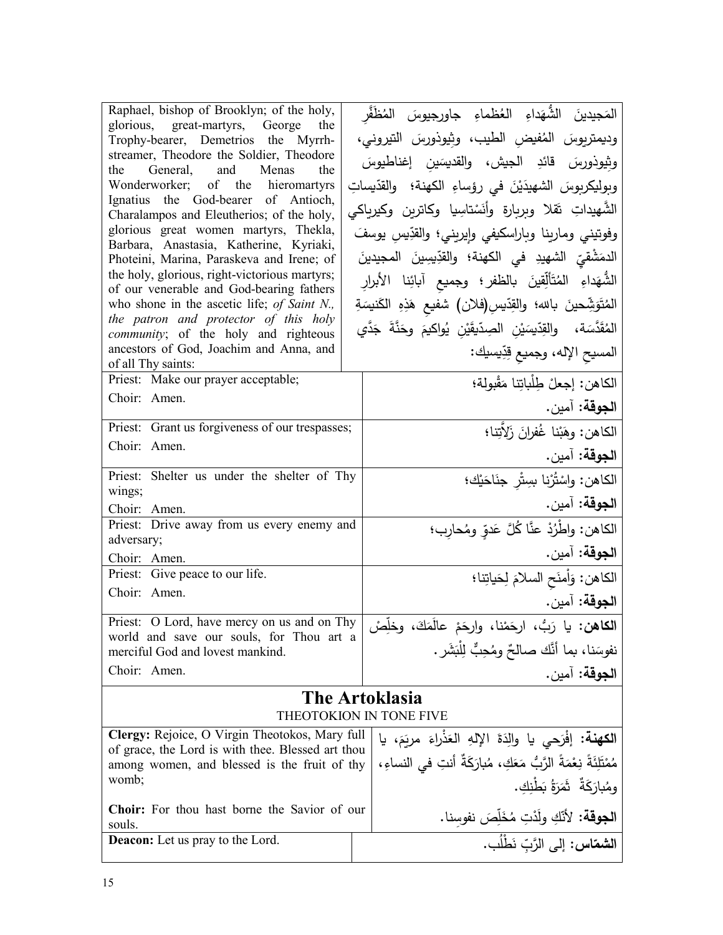| Raphael, bishop of Brooklyn; of the holy,                                               | المَجيدينَ الشَّهَداءِ العُظماءِ جاورجيوسَ المُظَفَّر                |                                                   |  |
|-----------------------------------------------------------------------------------------|----------------------------------------------------------------------|---------------------------------------------------|--|
| glorious, great-martyrs, George<br>the<br>Trophy-bearer, Demetrios the Myrrh-           | وديمتريوسَ المُفيض الطيب، وثِيوذورسَ التيروني،                       |                                                   |  |
| streamer, Theodore the Soldier, Theodore                                                |                                                                      |                                                   |  |
| the General, and Menas<br>the                                                           | وثِيوذورسَ قائدِ الجيش، والقديسَين إغناطيوسَ                         |                                                   |  |
| Wonderworker; of the hieromartyrs                                                       | وبوليكربوسَ الشهيدَيْنَ في رؤساءِ الكهنة؛ والقدّيساتِ                |                                                   |  |
| Ignatius the God-bearer of Antioch,<br>Charalampos and Eleutherios; of the holy,        | الشَّهيداتِ تَقلا وبِربِارةِ وأنَسْتاسِيا وكاترين وكيربِاكي          |                                                   |  |
| glorious great women martyrs, Thekla,                                                   | وفوتيني ومارينا وباراسكيفي وإيريني؛ والقدِّيسِ يوسفَ                 |                                                   |  |
| Barbara, Anastasia, Katherine, Kyriaki,<br>Photeini, Marina, Paraskeva and Irene; of    | الدمَشْقيِّ الشهيدِ في الكهنة؛ والقدِّيسِينَ المجيدينَ               |                                                   |  |
| the holy, glorious, right-victorious martyrs;                                           |                                                                      |                                                   |  |
| of our venerable and God-bearing fathers                                                | الشُّهَداءِ المُتَأَلِّقِينَ بالظفر؛ وجميع آبائِنا الأبرارِ          |                                                   |  |
| who shone in the ascetic life; of Saint N.,                                             | المُتَوَشِّحينَ بالله؛ والقِدّيسِ(فلان) شفيع هَذِهِ الكَنيسَةِ       |                                                   |  |
| the patron and protector of this holy                                                   | المُقَدَّسَة، والقِدِّيسَيْنِ الصِدّيقَيْنِ يُواكيمَ وحَذَّةَ جَدَّي |                                                   |  |
| <i>community</i> ; of the holy and righteous<br>ancestors of God, Joachim and Anna, and |                                                                      |                                                   |  |
| of all Thy saints:                                                                      |                                                                      | المسيح الإله، وجميع قِدِّيسيك:                    |  |
| Priest: Make our prayer acceptable;                                                     |                                                                      | الكاهن: إجعلْ طِلْباتِنا مَقْبولة؛                |  |
| Choir: Amen.                                                                            |                                                                      | ا <b>لجوقة:</b> آمين.                             |  |
| Priest: Grant us forgiveness of our trespasses;                                         |                                                                      | الكاهن: وهَبْنا غُفرانَ زَلاَتِنا؛                |  |
| Choir: Amen.                                                                            |                                                                      |                                                   |  |
|                                                                                         |                                                                      | ا <b>لجوقة:</b> آمين.                             |  |
| Priest: Shelter us under the shelter of Thy<br>wings;                                   |                                                                      | الكاهن: واسْتُرْنا بسِتْر جنَاحَيْك؛              |  |
| Choir: Amen.                                                                            |                                                                      | ا <b>لجوقة:</b> آمين.                             |  |
| Priest: Drive away from us every enemy and                                              |                                                                      | الكاهن: واطْرُدْ عنَّا كُلَّ عَدوٍّ ومُحارِب؛     |  |
| adversary;                                                                              |                                                                      |                                                   |  |
| Choir: Amen.                                                                            |                                                                      | ا <b>لجوقة:</b> آمين.                             |  |
| Priest: Give peace to our life.                                                         |                                                                      | الكاهن: وَلْمنَح السلامَ لِحَياتِنا؛              |  |
| Choir: Amen.                                                                            |                                                                      | ا <b>لجوقة:</b> آمين.                             |  |
| Priest: O Lord, have mercy on us and on Thy                                             | ا <b>لكاهن:</b> يا رَبُّ، ارحَمْنا، وارحَمْ عالَمَكَ، وخلِّصْ        |                                                   |  |
| world and save our souls, for Thou art a<br>merciful God and lovest mankind.            |                                                                      | نفوسَنا، بما أنَّك صالحٌ ومُحِبٌّ لِلْبَشَرِ .    |  |
| Choir: Amen.                                                                            |                                                                      | ا <b>لجوقة:</b> آمين.                             |  |
|                                                                                         |                                                                      |                                                   |  |
| <b>The Artoklasia</b><br>THEOTOKION IN TONE FIVE                                        |                                                                      |                                                   |  |
| Clergy: Rejoice, O Virgin Theotokos, Mary full                                          |                                                                      |                                                   |  |
| of grace, the Lord is with thee. Blessed art thou                                       | ا <b>لكهنة:</b> إفْرَحى يا والِدَةَ الإِلهِ العَذْراءَ مريَمَ، يا    |                                                   |  |
| among women, and blessed is the fruit of thy                                            | مُمْتَلِئَةً نِعْمَةً الرَّبُّ مَعَكِ، مُبارَكَةٌ أنتِ في النساءِ،   |                                                   |  |
| womb;                                                                                   |                                                                      | ومُبارَكَةٌ ۖ ثَمَرَةُ بَطْنِكِ.                  |  |
| Choir: For thou hast borne the Savior of our                                            |                                                                      | ا <b>لجوقة:</b> لأنّكِ ولَدْتِ مُخَلِّصَ نفوسِنا. |  |
| souls.                                                                                  |                                                                      |                                                   |  |
| <b>Deacon:</b> Let us pray to the Lord.                                                 |                                                                      | ا <b>لشمّاس:</b> إلى الرَّبّ نَطْلُب.             |  |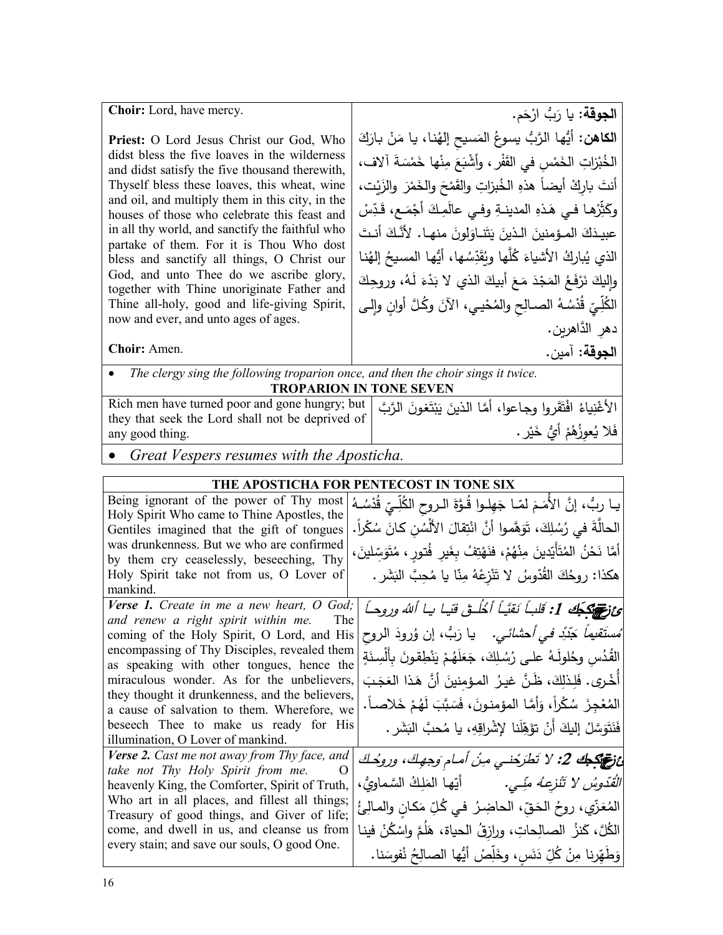| <b>Choir:</b> Lord, have mercy.                                                                                                                                                                                                                                                                                                                                                                                                                                                                                                                                                                                                                                                                                                                                      | ا <b>لجوقة:</b> يا رَبُّ ارْحَم.                                                                                                                                                                                                                                                                                                                                                                                                                                                                                                                                                                                                                                                                                                                                                                                                |
|----------------------------------------------------------------------------------------------------------------------------------------------------------------------------------------------------------------------------------------------------------------------------------------------------------------------------------------------------------------------------------------------------------------------------------------------------------------------------------------------------------------------------------------------------------------------------------------------------------------------------------------------------------------------------------------------------------------------------------------------------------------------|---------------------------------------------------------------------------------------------------------------------------------------------------------------------------------------------------------------------------------------------------------------------------------------------------------------------------------------------------------------------------------------------------------------------------------------------------------------------------------------------------------------------------------------------------------------------------------------------------------------------------------------------------------------------------------------------------------------------------------------------------------------------------------------------------------------------------------|
| Priest: O Lord Jesus Christ our God, Who<br>didst bless the five loaves in the wilderness<br>and didst satisfy the five thousand therewith,<br>Thyself bless these loaves, this wheat, wine<br>and oil, and multiply them in this city, in the<br>houses of those who celebrate this feast and<br>in all thy world, and sanctify the faithful who<br>partake of them. For it is Thou Who dost<br>bless and sanctify all things, O Christ our<br>God, and unto Thee do we ascribe glory,<br>together with Thine unoriginate Father and<br>Thine all-holy, good and life-giving Spirit,<br>now and ever, and unto ages of ages.<br>Choir: Amen.                                                                                                                        | ا <b>لكاهن:</b> أيُّها الرَّبُّ يسوعُ المَسيح إلهُنا، يا مَنْ بارَكَ<br>الْخُبْزاتِ الْخَمْسِ في القَفْرِ ، وأَشْبَعَ مِنْها خَمْسَةَ آلافٍ،<br>أنتَ باركْ أيضاً هذهِ الخُبزاتِ والقَمْحَ والخَمْرَ والزَيْت،<br>وكَثِّرْها فـي هَذهِ المدينــةِ وفـي عالَمِـكَ أَجْمَـع، قَدِّسْ<br>عبيدَكَ المـؤمنينَ الـذينَ يَتَنــاوَلونَ منهـا. لأنَّـكَ أنـتَ<br>الذي يُباركُ الأشياءَ كُلُّها ويُقَدِّسُها، أَيُّها المسيحُ إلهُنا<br>واليكَ نَرْفَعُ المَجْدَ مَعَ أَبِيكَ الذي لا بَدْءَ لَـهُ، وروحِكَ<br>الكُلِّيّ قُدْسُهُ الصــالِح والمُحْيـي، الآنَ وكُلَّ أوانِ وإلـى<br>دهر الدَّاهرين.                                                                                                                                                                                                                                       |
|                                                                                                                                                                                                                                                                                                                                                                                                                                                                                                                                                                                                                                                                                                                                                                      | ا <b>لجوقة:</b> آمين.                                                                                                                                                                                                                                                                                                                                                                                                                                                                                                                                                                                                                                                                                                                                                                                                           |
| The clergy sing the following troparion once, and then the choir sings it twice.                                                                                                                                                                                                                                                                                                                                                                                                                                                                                                                                                                                                                                                                                     | <b>TROPARION IN TONE SEVEN</b>                                                                                                                                                                                                                                                                                                                                                                                                                                                                                                                                                                                                                                                                                                                                                                                                  |
| Rich men have turned poor and gone hungry; but<br>they that seek the Lord shall not be deprived of<br>any good thing.                                                                                                                                                                                                                                                                                                                                                                                                                                                                                                                                                                                                                                                | الأغْنِياءُ افْتَقَروا وجاعوا، أمَّا الذينَ يَبْتَغُونَ الرَّبَّ<br>فَلا يُعوزُهُمْ أَيُّ خَيْرٍ .                                                                                                                                                                                                                                                                                                                                                                                                                                                                                                                                                                                                                                                                                                                              |
| Great Vespers resumes with the Aposticha.                                                                                                                                                                                                                                                                                                                                                                                                                                                                                                                                                                                                                                                                                                                            |                                                                                                                                                                                                                                                                                                                                                                                                                                                                                                                                                                                                                                                                                                                                                                                                                                 |
|                                                                                                                                                                                                                                                                                                                                                                                                                                                                                                                                                                                                                                                                                                                                                                      | THE APOSTICHA FOR PENTECOST IN TONE SIX                                                                                                                                                                                                                                                                                                                                                                                                                                                                                                                                                                                                                                                                                                                                                                                         |
| Being ignorant of the power of Thy most<br>Holy Spirit Who came to Thine Apostles, the<br>Gentiles imagined that the gift of tongues<br>was drunkenness. But we who are confirmed<br>by them cry ceaselessly, beseeching, Thy<br>Holy Spirit take not from us, O Lover of<br>mankind.                                                                                                                                                                                                                                                                                                                                                                                                                                                                                | يـا ربُّ، إنَّ الأَمَـمَ لَمّـا جَهِلـوا قُـوَّةَ الـروحِ الكُلِّـيِّ قُدْسُـهُ<br>الحالَّةَ في رُسُلِكَ، تَوَهَّموا أَنَّ انْتِقالَ الأَلْسُنِ كَانَ سُكْراً.<br>أَمَّا نَحْنُ المُتَأَيِّدينَ مِنْهُمْ، فنَهْتِفُ بِغَيرِ فُتورٍ ، مُتَوَسِّلينَ ،<br>هكذا: روِحُكَ القُدّوسُ لا تَنْزِعْهُ مِنّا يا مُحِبَّ البَشَرِ .                                                                                                                                                                                                                                                                                                                                                                                                                                                                                                       |
| Verse 1. Create in me a new heart, O God;<br>and renew a right spirit within me.<br>The<br>encompassing of Thy Disciples, revealed them<br>as speaking with other tongues, hence the<br>miraculous wonder. As for the unbelievers,<br>they thought it drunkenness, and the believers,<br>a cause of salvation to them. Wherefore, we<br>beseech Thee to make us ready for His<br>illumination, O Lover of mankind.<br><b>Verse 2.</b> Cast me not away from Thy face, and<br>take not Thy Holy Spirit from me.<br>O<br>heavenly King, the Comforter, Spirit of Truth,<br>Who art in all places, and fillest all things;<br>Treasury of good things, and Giver of life;<br>come, and dwell in us, and cleanse us from<br>every stain; and save our souls, O good One. | ئ تَمَنْ يَكْبِكُ 1: قَلباً نَقيّاً أَخْلُـقْ قيا يا ألله وروحاً<br> مُستَقْيماً جَدِّدْ فَي أَحْشائَي.    يا رَبُّ، إن وُرودَ الروح coming of the Holy Spirit, O Lord, and His<br>القُدُس وحُلولَـهُ علـى رُسُـلِكَ، جَعَلَهُمْ يَنْطِقونَ بِأَلْسِنَةٍ<br>أَخْرِي. فَلِـذَلِكَ، ظَـنَّ غيـرُ  المـؤمنينَ أنَّ هَـذا العَجَـبَ<br>المُعْجِزَ سُكْراً، وَأَمَّا المؤمنونَ، فَسَبَّبَ لَهُمْ خَلاصاً.<br>فَنَتَوَسَّلُ إِليكَ أَنْ تؤَهِّلَنا لِإِشْرِاقِهِ، يا مُحبَّ البَشَرِ .<br>ائ تونيكو 2: لا تَطْرَحْنــي مِنْ أمـام وَجهِكَ، وروحُكَ<br><i>الْقَدُّوسُ لا تَتْزِعِـهُ منِّـي.</i> أيّها المَلِكُ السَّماويُّ،<br>المُعَزِّي، روحُ الحَقِّ، الحاضِرُ في كُلِّ مَكانٍ والمـالِئُ<br>الكُلَّ، كَنزُ  الصالِحاتِ، ورازقُ الحياة، هَلَمَّ واسْكُنْ فينا<br>وَطَهِّرنا مِنْ كُلِّ دَنَسٍ، وخَلِّصْ أَيُّها الصالِحُ نُفوسَنا. |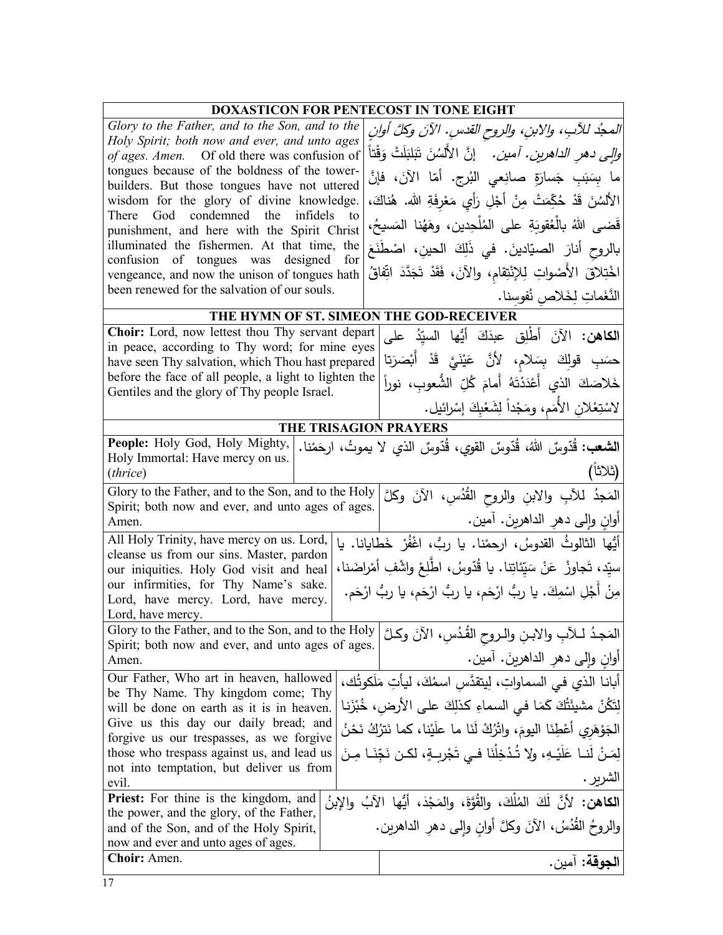| <b>DOXASTICON FOR PENTECOST IN TONE EIGHT</b>                                                       |     |                                                                                                             |  |
|-----------------------------------------------------------------------------------------------------|-----|-------------------------------------------------------------------------------------------------------------|--|
| Glory to the Father, and to the Son, and to the                                                     |     | المجدُ للآبِ، والابنِ، والروح القدسِ. الآنَ وكلَّ أوانِ                                                     |  |
| Holy Spirit; both now and ever, and unto ages<br>of ages. Amen. Of old there was confusion of       |     | <i>والى دهرِ الداهرين. آمين.</i> إنَّ الأَلسُنَ تَبَلبَلَتْ وَقْتاً                                         |  |
| tongues because of the boldness of the tower-<br>builders. But those tongues have not uttered       |     | ما بِسَبَبِ جَسارَةٍ صانِعى البُرج. أمّا الآنَ، فإنَّ                                                       |  |
| wisdom for the glory of divine knowledge.                                                           |     | الأَلْسُنَ قَدْ حُكِّمَتْ مِنْ أَجْلِ رَأِي مَعْرِفَةِ الله. هُناكَ،                                        |  |
| There God condemned the infidels                                                                    | to  | قَضىي اللهُ بالْعُقوبَةِ على المُلْحِدين، وهَهُنا المَسيحُ،                                                 |  |
| punishment, and here with the Spirit Christ<br>illuminated the fishermen. At that time, the         |     |                                                                                                             |  |
| confusion of tongues was designed                                                                   | for | بالروح أنارَ الصيّادينَ. في ذَلِكَ الحينِ، اصْطَنَعَ                                                        |  |
| vengeance, and now the unison of tongues hath                                                       |     | اخْتِلاقَ الأَصْواتِ لِلإِنْتِقامِ، والآنَ، فَقَدْ تَجَدَّدَ اتِّفاقُ                                       |  |
| been renewed for the salvation of our souls.                                                        |     | النَّغَماتِ لِخَلاصٍ نُفوسنا.                                                                               |  |
|                                                                                                     |     | THE HYMN OF ST. SIMEON THE GOD-RECEIVER                                                                     |  |
| Choir: Lord, now lettest thou Thy servant depart                                                    |     | ا <b>لكاهن:</b> الآنَ أطْلِق عبدَكَ أيُّها السيّدُ على                                                      |  |
| in peace, according to Thy word; for mine eyes<br>have seen Thy salvation, which Thou hast prepared |     | حسَبِ قولِكَ بِسَلام، لأنَّ عَيْنَيَّ قَدْ أَبْصَرَتا                                                       |  |
| before the face of all people, a light to lighten the                                               |     | خَلاصَكَ الذي أَعْدَدْتَهُ أَمامَ كُلِّ الشُّعوبِ، نوراً                                                    |  |
| Gentiles and the glory of Thy people Israel.                                                        |     | لاَسْتِعْلَانِ الأُمَمِ، ومَجْداً لِشَعْبِكَ إِسْرائِيلٍ.                                                   |  |
|                                                                                                     |     | <b>THE TRISAGION PRAYERS</b>                                                                                |  |
| People: Holy God, Holy Mighty,                                                                      |     |                                                                                                             |  |
| Holy Immortal: Have mercy on us.<br>(thrice)                                                        |     | ا <b>لشعب:</b> قُدّوسٌ اللهُ، قُدّوسٌ القوي، قُدّوسٌ الذي لا يموتُ، ارحَمْنا.<br>(ثلاثاً)                   |  |
| Glory to the Father, and to the Son, and to the Holy                                                |     | المَجدُ للآبِ والابنِ والروحِ القُدُسِ، الآنَ وكلَّ                                                         |  |
| Spirit; both now and ever, and unto ages of ages.<br>Amen.                                          |     | أوانِ وإلى دهرِ الداهرينَ. آمين.                                                                            |  |
| All Holy Trinity, have mercy on us. Lord,                                                           |     | أَيُّها الثالوثُ القدوسُ، ارحمْنا. يا ربُّ، اغْفُرْ خَطايانا. يا                                            |  |
| cleanse us from our sins. Master, pardon                                                            |     | سيّد، تَجاوزْ عَنْ سَيّئاتِنا. يا قُدّوسُ، اطّلِعْ واشْفِ أَمْراضَنا،                                       |  |
| our iniquities. Holy God visit and heal<br>our infirmities, for Thy Name's sake.                    |     |                                                                                                             |  |
| Lord, have mercy. Lord, have mercy.                                                                 |     | مِنْ أَجْلِ اسْمِكَ. يا ربُّ ارْحَم، يا ربُّ ارْحَم، يا ربُّ ارْحَم.                                        |  |
| Lord, have mercy.                                                                                   |     |                                                                                                             |  |
| Spirit; both now and ever, and unto ages of ages.                                                   |     | المَجِدُ للآبِ والابنِ والروحِ القُدُسِ، الآنَ وكلَّ   Glory to the Father, and to the Son, and to the Holy |  |
| Amen.                                                                                               |     | أوان وإلى دهر الداهرينَ. آمين.                                                                              |  |
| Our Father, Who art in heaven, hallowed                                                             |     | أبانـا الذي في السماواتِ، لِيتقدَّسِ اسمُكَ، ليأتِ مَلَكوتُك،                                               |  |
| be Thy Name. Thy kingdom come; Thy<br>will be done on earth as it is in heaven.                     |     | لِتَكُنْ مشيئَتُكَ كَمَا في السماءِ كذلِكَ على الأرض، خُبْزَنا                                              |  |
| Give us this day our daily bread; and                                                               |     | الْجَوْهَرِي أَعْطِنَا اليومَ، واتْرُكْ لَنَا ما علَيْنا، كما نَترُكُ نَحْنُ                                |  |
| forgive us our trespasses, as we forgive                                                            |     |                                                                                                             |  |
| those who trespass against us, and lead us<br>not into temptation, but deliver us from              |     | لِمَنْ لَنـا عَلَيْـهِ، ولا تُدْخِلْنَا فـي تَجْرِبـةٍ، لكـن نَجِّنَـا مِـنَ                                |  |
| evil.                                                                                               |     | الشربر .                                                                                                    |  |
| <b>Priest:</b> For thine is the kingdom, and                                                        |     | ا <b>لكاهن:</b> لأنَّ لَكَ المُلْكَ، والقُوَّةَ، والمَجْدَ، أَيُّها الآبُ والإِبنُ                          |  |
| the power, and the glory, of the Father,<br>and of the Son, and of the Holy Spirit,                 |     | والروحُ القُدُسُ، الآنَ وكلَّ أوانٍ وإلى دهرِ الداهرينِ.                                                    |  |
| now and ever and unto ages of ages.                                                                 |     |                                                                                                             |  |
| Choir: Amen.                                                                                        |     | الجوقة: آمين.                                                                                               |  |